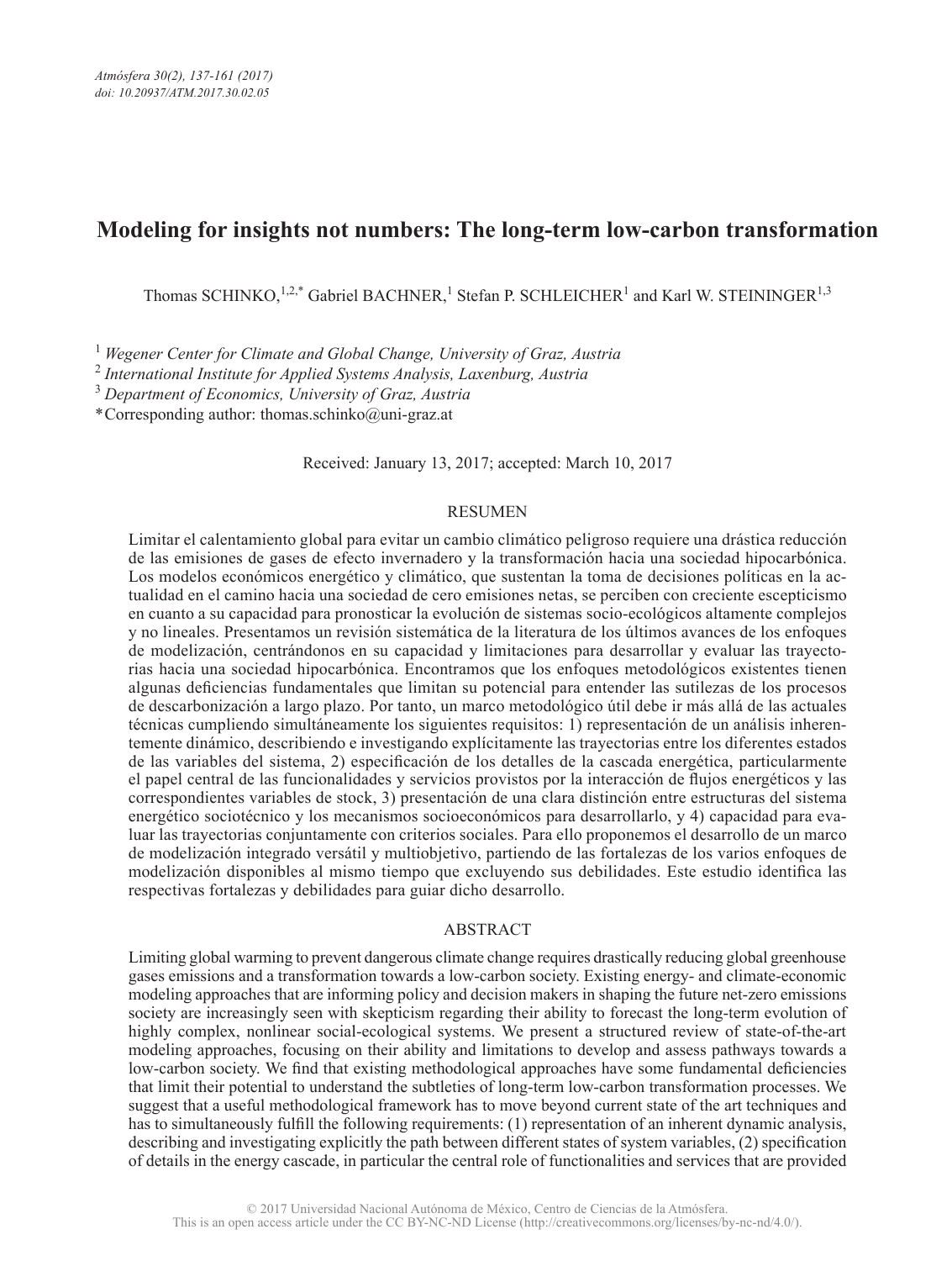# **Modeling for insights not numbers: The long-term low-carbon transformation**

Thomas SCHINKO,<sup>1,2,\*</sup> Gabriel BACHNER,<sup>1</sup> Stefan P. SCHLEICHER<sup>1</sup> and Karl W. STEININGER<sup>1,3</sup>

<sup>1</sup> *Wegener Center for Climate and Global Change, University of Graz, Austria*

<sup>2</sup> *International Institute for Applied Systems Analysis, Laxenburg, Austria*

<sup>3</sup> *Department of Economics, University of Graz, Austria*

\*Corresponding author: thomas.schinko@uni-graz.at

#### Received: January 13, 2017; accepted: March 10, 2017

#### RESUMEN

Limitar el calentamiento global para evitar un cambio climático peligroso requiere una drástica reducción de las emisiones de gases de efecto invernadero y la transformación hacia una sociedad hipocarbónica. Los modelos económicos energético y climático, que sustentan la toma de decisiones políticas en la actualidad en el camino hacia una sociedad de cero emisiones netas, se perciben con creciente escepticismo en cuanto a su capacidad para pronosticar la evolución de sistemas socio-ecológicos altamente complejos y no lineales. Presentamos un revisión sistemática de la literatura de los últimos avances de los enfoques de modelización, centrándonos en su capacidad y limitaciones para desarrollar y evaluar las trayectorias hacia una sociedad hipocarbónica. Encontramos que los enfoques metodológicos existentes tienen algunas deficiencias fundamentales que limitan su potencial para entender las sutilezas de los procesos de descarbonización a largo plazo. Por tanto, un marco metodológico útil debe ir más allá de las actuales técnicas cumpliendo simultáneamente los siguientes requisitos: 1) representación de un análisis inherentemente dinámico, describiendo e investigando explícitamente las trayectorias entre los diferentes estados de las variables del sistema, 2) especificación de los detalles de la cascada energética, particularmente el papel central de las funcionalidades y servicios provistos por la interacción de flujos energéticos y las correspondientes variables de stock, 3) presentación de una clara distinción entre estructuras del sistema energético sociotécnico y los mecanismos socioeconómicos para desarrollarlo, y 4) capacidad para evaluar las trayectorias conjuntamente con criterios sociales. Para ello proponemos el desarrollo de un marco de modelización integrado versátil y multiobjetivo, partiendo de las fortalezas de los varios enfoques de modelización disponibles al mismo tiempo que excluyendo sus debilidades. Este estudio identifica las respectivas fortalezas y debilidades para guiar dicho desarrollo.

#### ABSTRACT

Limiting global warming to prevent dangerous climate change requires drastically reducing global greenhouse gases emissions and a transformation towards a low-carbon society. Existing energy- and climate-economic modeling approaches that are informing policy and decision makers in shaping the future net-zero emissions society are increasingly seen with skepticism regarding their ability to forecast the long-term evolution of highly complex, nonlinear social-ecological systems. We present a structured review of state-of-the-art modeling approaches, focusing on their ability and limitations to develop and assess pathways towards a low-carbon society. We find that existing methodological approaches have some fundamental deficiencies that limit their potential to understand the subtleties of long-term low-carbon transformation processes. We suggest that a useful methodological framework has to move beyond current state of the art techniques and has to simultaneously fulfill the following requirements: (1) representation of an inherent dynamic analysis, describing and investigating explicitly the path between different states of system variables, (2) specification of details in the energy cascade, in particular the central role of functionalities and services that are provided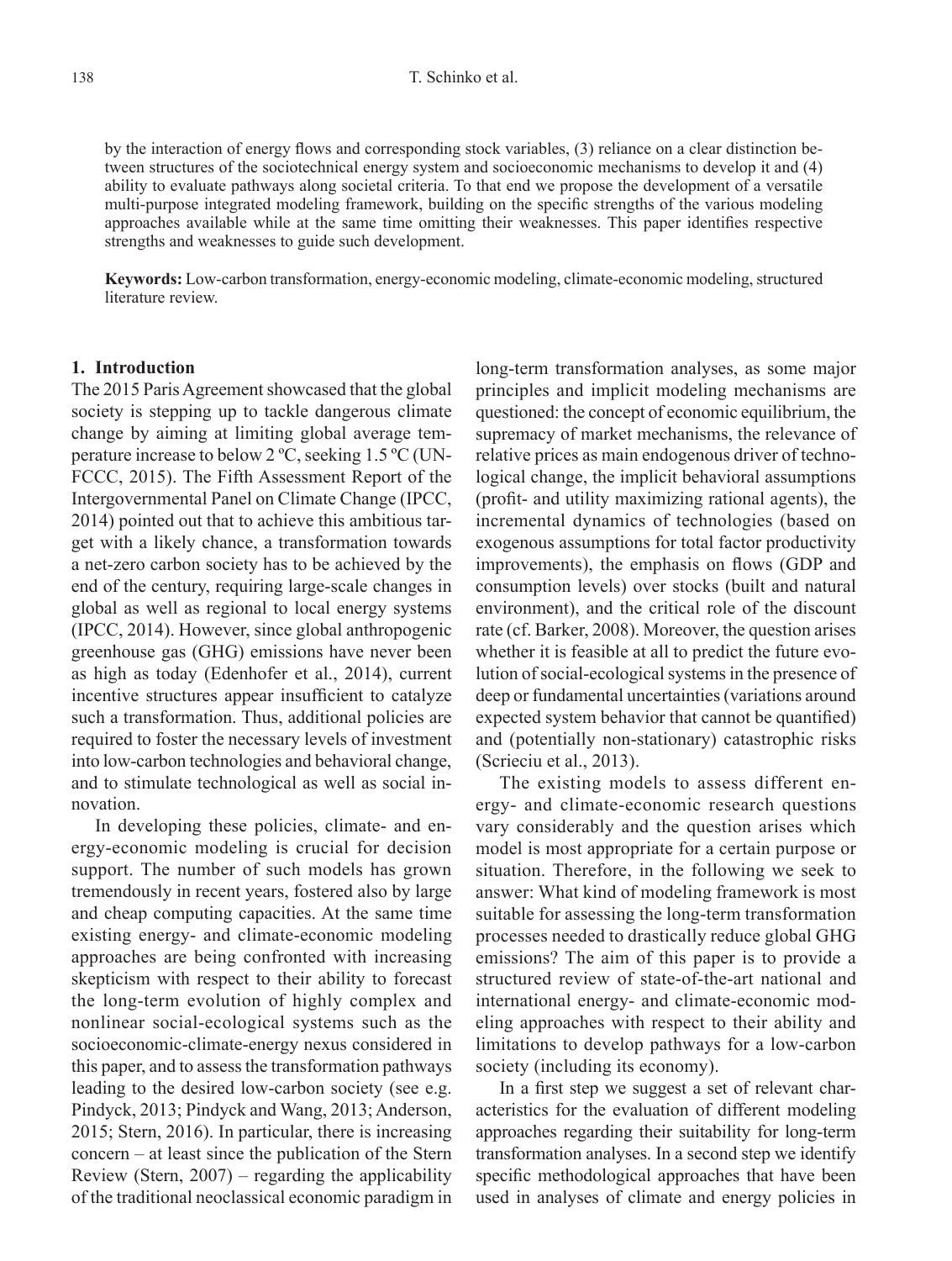by the interaction of energy flows and corresponding stock variables, (3) reliance on a clear distinction between structures of the sociotechnical energy system and socioeconomic mechanisms to develop it and (4) ability to evaluate pathways along societal criteria. To that end we propose the development of a versatile multi-purpose integrated modeling framework, building on the specific strengths of the various modeling approaches available while at the same time omitting their weaknesses. This paper identifies respective strengths and weaknesses to guide such development.

**Keywords:** Low-carbon transformation, energy-economic modeling, climate-economic modeling, structured literature review.

### **1. Introduction**

The 2015 Paris Agreement showcased that the global society is stepping up to tackle dangerous climate change by aiming at limiting global average temperature increase to below 2 ºC, seeking 1.5 ºC (UN-FCCC, 2015). The Fifth Assessment Report of the Intergovernmental Panel on Climate Change (IPCC, 2014) pointed out that to achieve this ambitious target with a likely chance, a transformation towards a net-zero carbon society has to be achieved by the end of the century, requiring large-scale changes in global as well as regional to local energy systems (IPCC, 2014). However, since global anthropogenic greenhouse gas (GHG) emissions have never been as high as today (Edenhofer et al., 2014), current incentive structures appear insufficient to catalyze such a transformation. Thus, additional policies are required to foster the necessary levels of investment into low-carbon technologies and behavioral change, and to stimulate technological as well as social innovation.

In developing these policies, climate- and energy-economic modeling is crucial for decision support. The number of such models has grown tremendously in recent years, fostered also by large and cheap computing capacities. At the same time existing energy- and climate-economic modeling approaches are being confronted with increasing skepticism with respect to their ability to forecast the long-term evolution of highly complex and nonlinear social-ecological systems such as the socioeconomic-climate-energy nexus considered in this paper, and to assess the transformation pathways leading to the desired low-carbon society (see e.g. Pindyck, 2013; Pindyck and Wang, 2013; Anderson, 2015; Stern, 2016). In particular, there is increasing concern – at least since the publication of the Stern Review (Stern, 2007) – regarding the applicability of the traditional neoclassical economic paradigm in long-term transformation analyses, as some major principles and implicit modeling mechanisms are questioned: the concept of economic equilibrium, the supremacy of market mechanisms, the relevance of relative prices as main endogenous driver of technological change, the implicit behavioral assumptions (profit- and utility maximizing rational agents), the incremental dynamics of technologies (based on exogenous assumptions for total factor productivity improvements), the emphasis on flows (GDP and consumption levels) over stocks (built and natural environment), and the critical role of the discount rate (cf. Barker, 2008). Moreover, the question arises whether it is feasible at all to predict the future evolution of social-ecological systems in the presence of deep or fundamental uncertainties (variations around expected system behavior that cannot be quantified) and (potentially non-stationary) catastrophic risks (Scrieciu et al., 2013).

The existing models to assess different energy- and climate-economic research questions vary considerably and the question arises which model is most appropriate for a certain purpose or situation. Therefore, in the following we seek to answer: What kind of modeling framework is most suitable for assessing the long-term transformation processes needed to drastically reduce global GHG emissions? The aim of this paper is to provide a structured review of state-of-the-art national and international energy- and climate-economic modeling approaches with respect to their ability and limitations to develop pathways for a low-carbon society (including its economy).

In a first step we suggest a set of relevant characteristics for the evaluation of different modeling approaches regarding their suitability for long-term transformation analyses. In a second step we identify specific methodological approaches that have been used in analyses of climate and energy policies in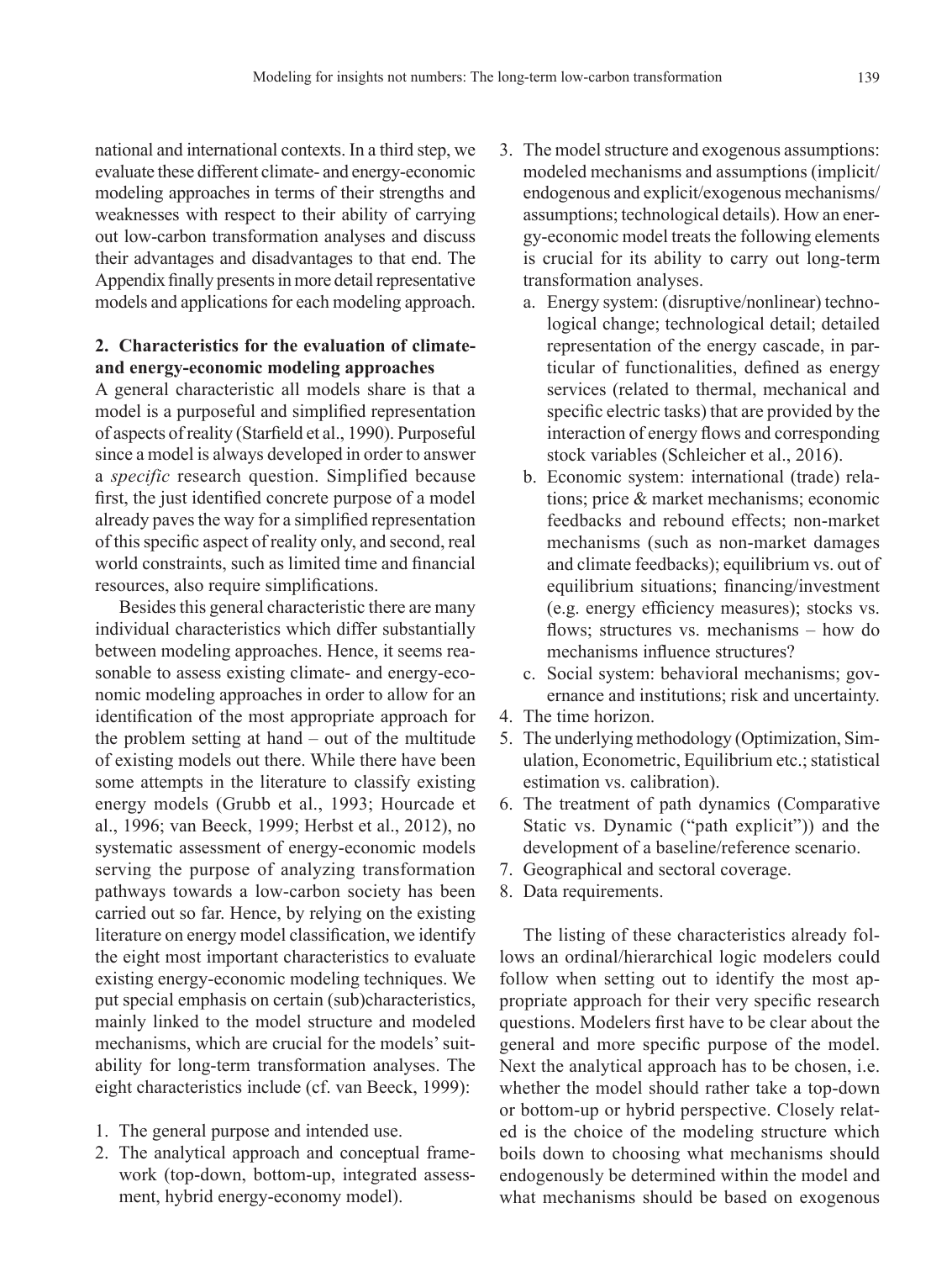national and international contexts. In a third step, we evaluate these different climate- and energy-economic modeling approaches in terms of their strengths and weaknesses with respect to their ability of carrying out low-carbon transformation analyses and discuss their advantages and disadvantages to that end. The Appendix finally presents in more detail representative models and applications for each modeling approach.

# **2. Characteristics for the evaluation of climateand energy-economic modeling approaches**

A general characteristic all models share is that a model is a purposeful and simplified representation of aspects of reality (Starfield et al., 1990). Purposeful since a model is always developed in order to answer a *specific* research question. Simplified because first, the just identified concrete purpose of a model already paves the way for a simplified representation of this specific aspect of reality only, and second, real world constraints, such as limited time and financial resources, also require simplifications.

Besides this general characteristic there are many individual characteristics which differ substantially between modeling approaches. Hence, it seems reasonable to assess existing climate- and energy-economic modeling approaches in order to allow for an identification of the most appropriate approach for the problem setting at hand – out of the multitude of existing models out there. While there have been some attempts in the literature to classify existing energy models (Grubb et al., 1993; Hourcade et al., 1996; van Beeck, 1999; Herbst et al., 2012), no systematic assessment of energy-economic models serving the purpose of analyzing transformation pathways towards a low-carbon society has been carried out so far. Hence, by relying on the existing literature on energy model classification, we identify the eight most important characteristics to evaluate existing energy-economic modeling techniques. We put special emphasis on certain (sub)characteristics, mainly linked to the model structure and modeled mechanisms, which are crucial for the models' suitability for long-term transformation analyses. The eight characteristics include (cf. van Beeck, 1999):

- 1. The general purpose and intended use.
- 2. The analytical approach and conceptual framework (top-down, bottom-up, integrated assessment, hybrid energy-economy model).
- 3. The model structure and exogenous assumptions: modeled mechanisms and assumptions (implicit/ endogenous and explicit/exogenous mechanisms/ assumptions; technological details). How an energy-economic model treats the following elements is crucial for its ability to carry out long-term transformation analyses.
	- a. Energy system: (disruptive/nonlinear) technological change; technological detail; detailed representation of the energy cascade, in particular of functionalities, defined as energy services (related to thermal, mechanical and specific electric tasks) that are provided by the interaction of energy flows and corresponding stock variables (Schleicher et al., 2016).
	- b. Economic system: international (trade) relations; price & market mechanisms; economic feedbacks and rebound effects; non-market mechanisms (such as non-market damages and climate feedbacks); equilibrium vs. out of equilibrium situations; financing/investment (e.g. energy efficiency measures); stocks vs. flows; structures vs. mechanisms – how do mechanisms influence structures?
	- c. Social system: behavioral mechanisms; governance and institutions; risk and uncertainty.
- 4. The time horizon.
- 5. The underlying methodology (Optimization, Simulation, Econometric, Equilibrium etc.; statistical estimation vs. calibration).
- 6. The treatment of path dynamics (Comparative Static vs. Dynamic ("path explicit")) and the development of a baseline/reference scenario.
- 7. Geographical and sectoral coverage.
- 8. Data requirements.

The listing of these characteristics already follows an ordinal/hierarchical logic modelers could follow when setting out to identify the most appropriate approach for their very specific research questions. Modelers first have to be clear about the general and more specific purpose of the model. Next the analytical approach has to be chosen, i.e. whether the model should rather take a top-down or bottom-up or hybrid perspective. Closely related is the choice of the modeling structure which boils down to choosing what mechanisms should endogenously be determined within the model and what mechanisms should be based on exogenous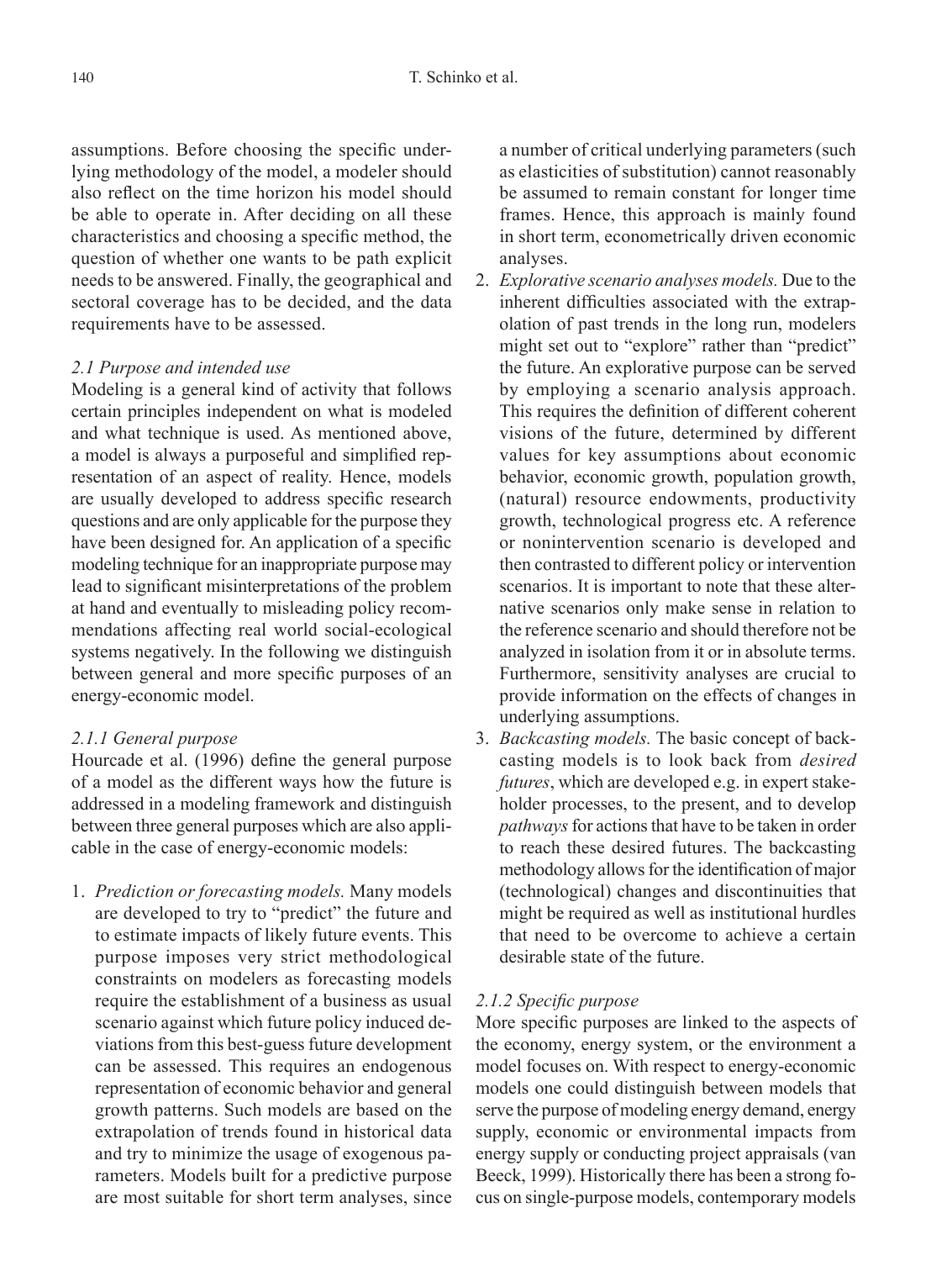assumptions. Before choosing the specific underlying methodology of the model, a modeler should also reflect on the time horizon his model should be able to operate in. After deciding on all these characteristics and choosing a specific method, the question of whether one wants to be path explicit needs to be answered. Finally, the geographical and sectoral coverage has to be decided, and the data requirements have to be assessed.

### *2.1 Purpose and intended use*

Modeling is a general kind of activity that follows certain principles independent on what is modeled and what technique is used. As mentioned above, a model is always a purposeful and simplified representation of an aspect of reality. Hence, models are usually developed to address specific research questions and are only applicable for the purpose they have been designed for. An application of a specific modeling technique for an inappropriate purpose may lead to significant misinterpretations of the problem at hand and eventually to misleading policy recommendations affecting real world social-ecological systems negatively. In the following we distinguish between general and more specific purposes of an energy-economic model.

### *2.1.1 General purpose*

Hourcade et al. (1996) define the general purpose of a model as the different ways how the future is addressed in a modeling framework and distinguish between three general purposes which are also applicable in the case of energy-economic models:

1. *Prediction or forecasting models.* Many models are developed to try to "predict" the future and to estimate impacts of likely future events. This purpose imposes very strict methodological constraints on modelers as forecasting models require the establishment of a business as usual scenario against which future policy induced deviations from this best-guess future development can be assessed. This requires an endogenous representation of economic behavior and general growth patterns. Such models are based on the extrapolation of trends found in historical data and try to minimize the usage of exogenous parameters. Models built for a predictive purpose are most suitable for short term analyses, since a number of critical underlying parameters (such as elasticities of substitution) cannot reasonably be assumed to remain constant for longer time frames. Hence, this approach is mainly found in short term, econometrically driven economic analyses.

- 2. *Explorative scenario analyses models.* Due to the inherent difficulties associated with the extrapolation of past trends in the long run, modelers might set out to "explore" rather than "predict" the future. An explorative purpose can be served by employing a scenario analysis approach. This requires the definition of different coherent visions of the future, determined by different values for key assumptions about economic behavior, economic growth, population growth, (natural) resource endowments, productivity growth, technological progress etc. A reference or nonintervention scenario is developed and then contrasted to different policy or intervention scenarios. It is important to note that these alternative scenarios only make sense in relation to the reference scenario and should therefore not be analyzed in isolation from it or in absolute terms. Furthermore, sensitivity analyses are crucial to provide information on the effects of changes in underlying assumptions.
- 3. *Backcasting models.* The basic concept of backcasting models is to look back from *desired futures*, which are developed e.g. in expert stakeholder processes, to the present, and to develop *pathways* for actions that have to be taken in order to reach these desired futures. The backcasting methodology allows for the identification of major (technological) changes and discontinuities that might be required as well as institutional hurdles that need to be overcome to achieve a certain desirable state of the future.

#### *2.1.2 Specific purpose*

More specific purposes are linked to the aspects of the economy, energy system, or the environment a model focuses on. With respect to energy-economic models one could distinguish between models that serve the purpose of modeling energy demand, energy supply, economic or environmental impacts from energy supply or conducting project appraisals (van Beeck, 1999). Historically there has been a strong focus on single-purpose models, contemporary models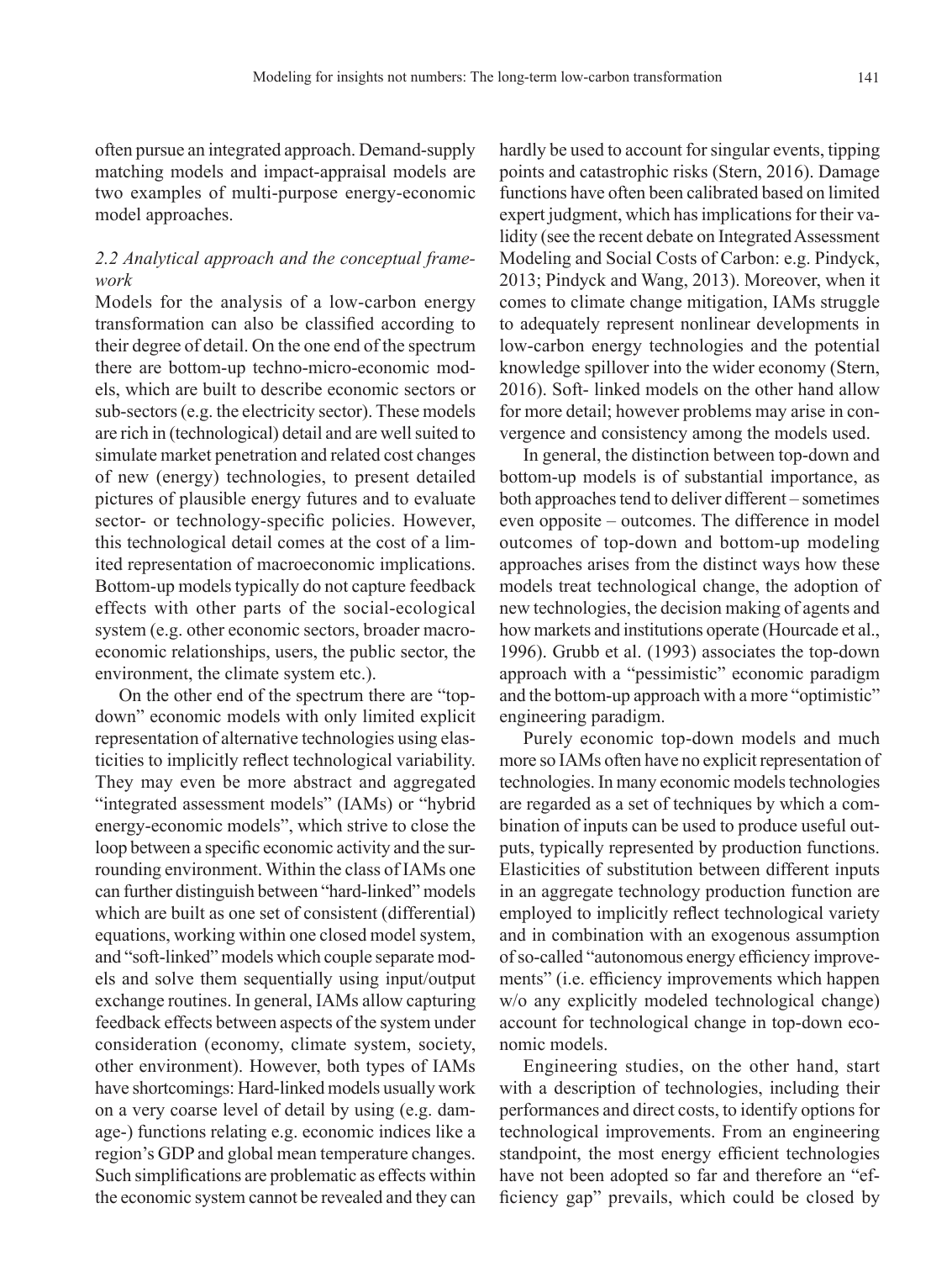often pursue an integrated approach. Demand-supply matching models and impact-appraisal models are two examples of multi-purpose energy-economic model approaches.

### *2.2 Analytical approach and the conceptual framework*

Models for the analysis of a low-carbon energy transformation can also be classified according to their degree of detail. On the one end of the spectrum there are bottom-up techno-micro-economic models, which are built to describe economic sectors or sub-sectors (e.g. the electricity sector). These models are rich in (technological) detail and are well suited to simulate market penetration and related cost changes of new (energy) technologies, to present detailed pictures of plausible energy futures and to evaluate sector- or technology-specific policies. However, this technological detail comes at the cost of a limited representation of macroeconomic implications. Bottom-up models typically do not capture feedback effects with other parts of the social-ecological system (e.g. other economic sectors, broader macroeconomic relationships, users, the public sector, the environment, the climate system etc.).

On the other end of the spectrum there are "topdown" economic models with only limited explicit representation of alternative technologies using elasticities to implicitly reflect technological variability. They may even be more abstract and aggregated "integrated assessment models" (IAMs) or "hybrid energy-economic models", which strive to close the loop between a specific economic activity and the surrounding environment. Within the class of IAMs one can further distinguish between "hard-linked" models which are built as one set of consistent (differential) equations, working within one closed model system, and "soft-linked" models which couple separate models and solve them sequentially using input/output exchange routines. In general, IAMs allow capturing feedback effects between aspects of the system under consideration (economy, climate system, society, other environment). However, both types of IAMs have shortcomings: Hard-linked models usually work on a very coarse level of detail by using (e.g. damage-) functions relating e.g. economic indices like a region's GDP and global mean temperature changes. Such simplifications are problematic as effects within the economic system cannot be revealed and they can

hardly be used to account for singular events, tipping points and catastrophic risks (Stern, 2016). Damage functions have often been calibrated based on limited expert judgment, which has implications for their validity (see the recent debate on Integrated Assessment Modeling and Social Costs of Carbon: e.g. Pindyck, 2013; Pindyck and Wang, 2013). Moreover, when it comes to climate change mitigation, IAMs struggle to adequately represent nonlinear developments in low-carbon energy technologies and the potential knowledge spillover into the wider economy (Stern, 2016). Soft- linked models on the other hand allow for more detail; however problems may arise in convergence and consistency among the models used.

In general, the distinction between top-down and bottom-up models is of substantial importance, as both approaches tend to deliver different – sometimes even opposite – outcomes. The difference in model outcomes of top-down and bottom-up modeling approaches arises from the distinct ways how these models treat technological change, the adoption of new technologies, the decision making of agents and how markets and institutions operate (Hourcade et al., 1996). Grubb et al. (1993) associates the top-down approach with a "pessimistic" economic paradigm and the bottom-up approach with a more "optimistic" engineering paradigm.

Purely economic top-down models and much more so IAMs often have no explicit representation of technologies. In many economic models technologies are regarded as a set of techniques by which a combination of inputs can be used to produce useful outputs, typically represented by production functions. Elasticities of substitution between different inputs in an aggregate technology production function are employed to implicitly reflect technological variety and in combination with an exogenous assumption of so-called "autonomous energy efficiency improvements" (i.e. efficiency improvements which happen w/o any explicitly modeled technological change) account for technological change in top-down economic models.

Engineering studies, on the other hand, start with a description of technologies, including their performances and direct costs, to identify options for technological improvements. From an engineering standpoint, the most energy efficient technologies have not been adopted so far and therefore an "efficiency gap" prevails, which could be closed by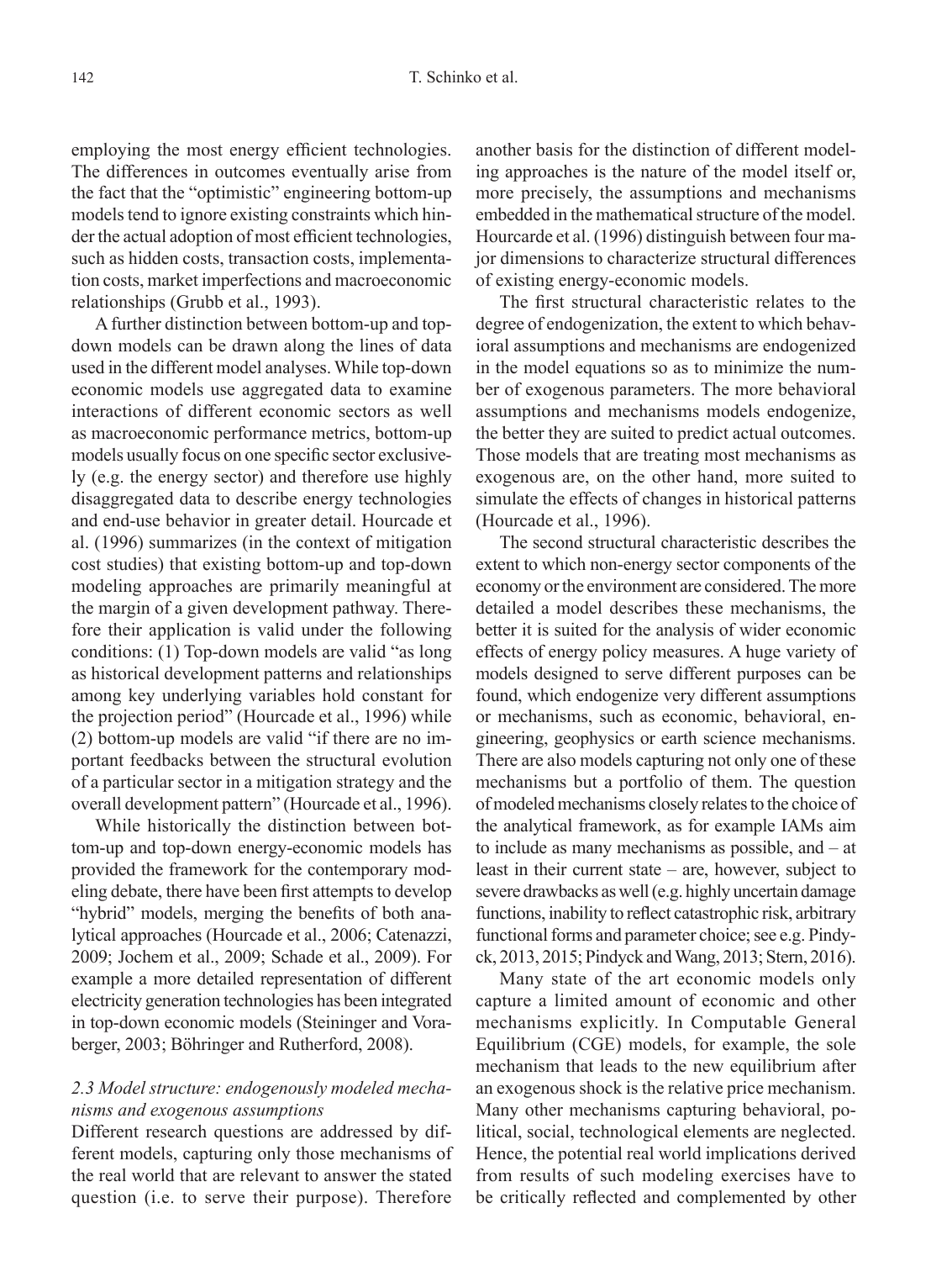employing the most energy efficient technologies. The differences in outcomes eventually arise from the fact that the "optimistic" engineering bottom-up models tend to ignore existing constraints which hinder the actual adoption of most efficient technologies, such as hidden costs, transaction costs, implementation costs, market imperfections and macroeconomic relationships (Grubb et al., 1993).

A further distinction between bottom-up and topdown models can be drawn along the lines of data used in the different model analyses. While top-down economic models use aggregated data to examine interactions of different economic sectors as well as macroeconomic performance metrics, bottom-up models usually focus on one specific sector exclusively (e.g. the energy sector) and therefore use highly disaggregated data to describe energy technologies and end-use behavior in greater detail. Hourcade et al. (1996) summarizes (in the context of mitigation cost studies) that existing bottom-up and top-down modeling approaches are primarily meaningful at the margin of a given development pathway. Therefore their application is valid under the following conditions: (1) Top-down models are valid "as long as historical development patterns and relationships among key underlying variables hold constant for the projection period" (Hourcade et al., 1996) while (2) bottom-up models are valid "if there are no important feedbacks between the structural evolution of a particular sector in a mitigation strategy and the overall development pattern" (Hourcade et al., 1996).

While historically the distinction between bottom-up and top-down energy-economic models has provided the framework for the contemporary modeling debate, there have been first attempts to develop "hybrid" models, merging the benefits of both analytical approaches (Hourcade et al., 2006; Catenazzi, 2009; Jochem et al., 2009; Schade et al., 2009). For example a more detailed representation of different electricity generation technologies has been integrated in top-down economic models (Steininger and Voraberger, 2003; Böhringer and Rutherford, 2008).

### *2.3 Model structure: endogenously modeled mechanisms and exogenous assumptions*

Different research questions are addressed by different models, capturing only those mechanisms of the real world that are relevant to answer the stated question (i.e. to serve their purpose). Therefore another basis for the distinction of different modeling approaches is the nature of the model itself or, more precisely, the assumptions and mechanisms embedded in the mathematical structure of the model. Hourcarde et al. (1996) distinguish between four major dimensions to characterize structural differences of existing energy-economic models.

The first structural characteristic relates to the degree of endogenization, the extent to which behavioral assumptions and mechanisms are endogenized in the model equations so as to minimize the number of exogenous parameters. The more behavioral assumptions and mechanisms models endogenize, the better they are suited to predict actual outcomes. Those models that are treating most mechanisms as exogenous are, on the other hand, more suited to simulate the effects of changes in historical patterns (Hourcade et al., 1996).

The second structural characteristic describes the extent to which non-energy sector components of the economy or the environment are considered. The more detailed a model describes these mechanisms, the better it is suited for the analysis of wider economic effects of energy policy measures. A huge variety of models designed to serve different purposes can be found, which endogenize very different assumptions or mechanisms, such as economic, behavioral, engineering, geophysics or earth science mechanisms. There are also models capturing not only one of these mechanisms but a portfolio of them. The question of modeled mechanisms closely relates to the choice of the analytical framework, as for example IAMs aim to include as many mechanisms as possible, and – at least in their current state – are, however, subject to severe drawbacks as well (e.g. highly uncertain damage functions, inability to reflect catastrophic risk, arbitrary functional forms and parameter choice; see e.g. Pindyck, 2013, 2015; Pindyck and Wang, 2013; Stern, 2016).

Many state of the art economic models only capture a limited amount of economic and other mechanisms explicitly. In Computable General Equilibrium (CGE) models, for example, the sole mechanism that leads to the new equilibrium after an exogenous shock is the relative price mechanism. Many other mechanisms capturing behavioral, political, social, technological elements are neglected. Hence, the potential real world implications derived from results of such modeling exercises have to be critically reflected and complemented by other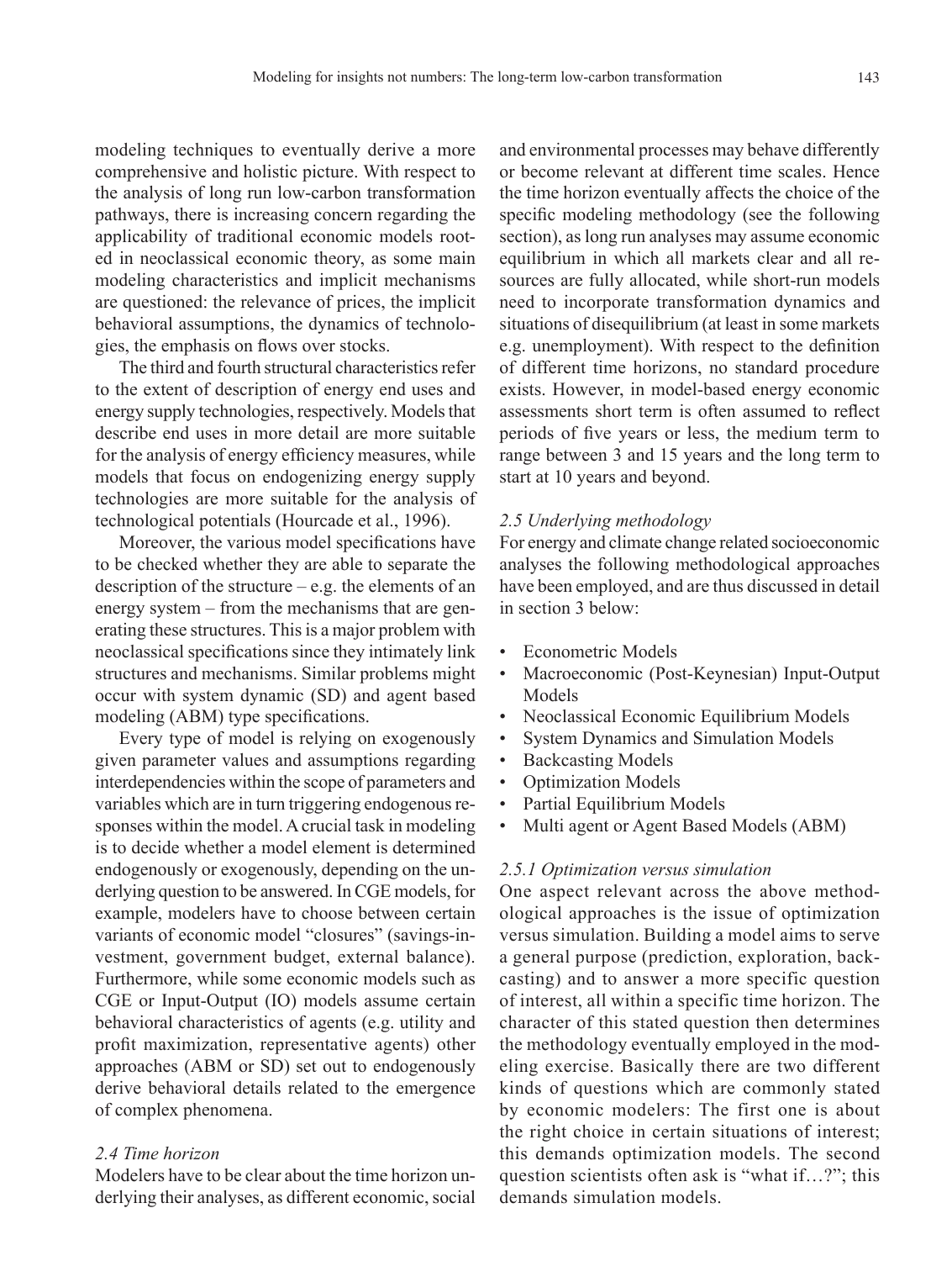modeling techniques to eventually derive a more comprehensive and holistic picture. With respect to the analysis of long run low-carbon transformation pathways, there is increasing concern regarding the applicability of traditional economic models rooted in neoclassical economic theory, as some main modeling characteristics and implicit mechanisms are questioned: the relevance of prices, the implicit behavioral assumptions, the dynamics of technologies, the emphasis on flows over stocks.

The third and fourth structural characteristics refer to the extent of description of energy end uses and energy supply technologies, respectively. Models that describe end uses in more detail are more suitable for the analysis of energy efficiency measures, while models that focus on endogenizing energy supply technologies are more suitable for the analysis of technological potentials (Hourcade et al., 1996).

Moreover, the various model specifications have to be checked whether they are able to separate the description of the structure  $-$  e.g. the elements of an energy system – from the mechanisms that are generating these structures. This is a major problem with neoclassical specifications since they intimately link structures and mechanisms. Similar problems might occur with system dynamic (SD) and agent based modeling (ABM) type specifications.

Every type of model is relying on exogenously given parameter values and assumptions regarding interdependencies within the scope of parameters and variables which are in turn triggering endogenous responses within the model. A crucial task in modeling is to decide whether a model element is determined endogenously or exogenously, depending on the underlying question to be answered. In CGE models, for example, modelers have to choose between certain variants of economic model "closures" (savings-investment, government budget, external balance). Furthermore, while some economic models such as CGE or Input-Output (IO) models assume certain behavioral characteristics of agents (e.g. utility and profit maximization, representative agents) other approaches (ABM or SD) set out to endogenously derive behavioral details related to the emergence of complex phenomena.

#### *2.4 Time horizon*

Modelers have to be clear about the time horizon underlying their analyses, as different economic, social and environmental processes may behave differently or become relevant at different time scales. Hence the time horizon eventually affects the choice of the specific modeling methodology (see the following section), as long run analyses may assume economic equilibrium in which all markets clear and all resources are fully allocated, while short-run models need to incorporate transformation dynamics and situations of disequilibrium (at least in some markets e.g. unemployment). With respect to the definition of different time horizons, no standard procedure exists. However, in model-based energy economic assessments short term is often assumed to reflect periods of five years or less, the medium term to range between 3 and 15 years and the long term to start at 10 years and beyond.

#### *2.5 Underlying methodology*

For energy and climate change related socioeconomic analyses the following methodological approaches have been employed, and are thus discussed in detail in section 3 below:

- Econometric Models
- Macroeconomic (Post-Keynesian) Input-Output Models
- Neoclassical Economic Equilibrium Models
- System Dynamics and Simulation Models
- Backcasting Models
- Optimization Models
- Partial Equilibrium Models
- Multi agent or Agent Based Models (ABM)

#### *2.5.1 Optimization versus simulation*

One aspect relevant across the above methodological approaches is the issue of optimization versus simulation. Building a model aims to serve a general purpose (prediction, exploration, backcasting) and to answer a more specific question of interest, all within a specific time horizon. The character of this stated question then determines the methodology eventually employed in the modeling exercise. Basically there are two different kinds of questions which are commonly stated by economic modelers: The first one is about the right choice in certain situations of interest; this demands optimization models. The second question scientists often ask is "what if…?"; this demands simulation models.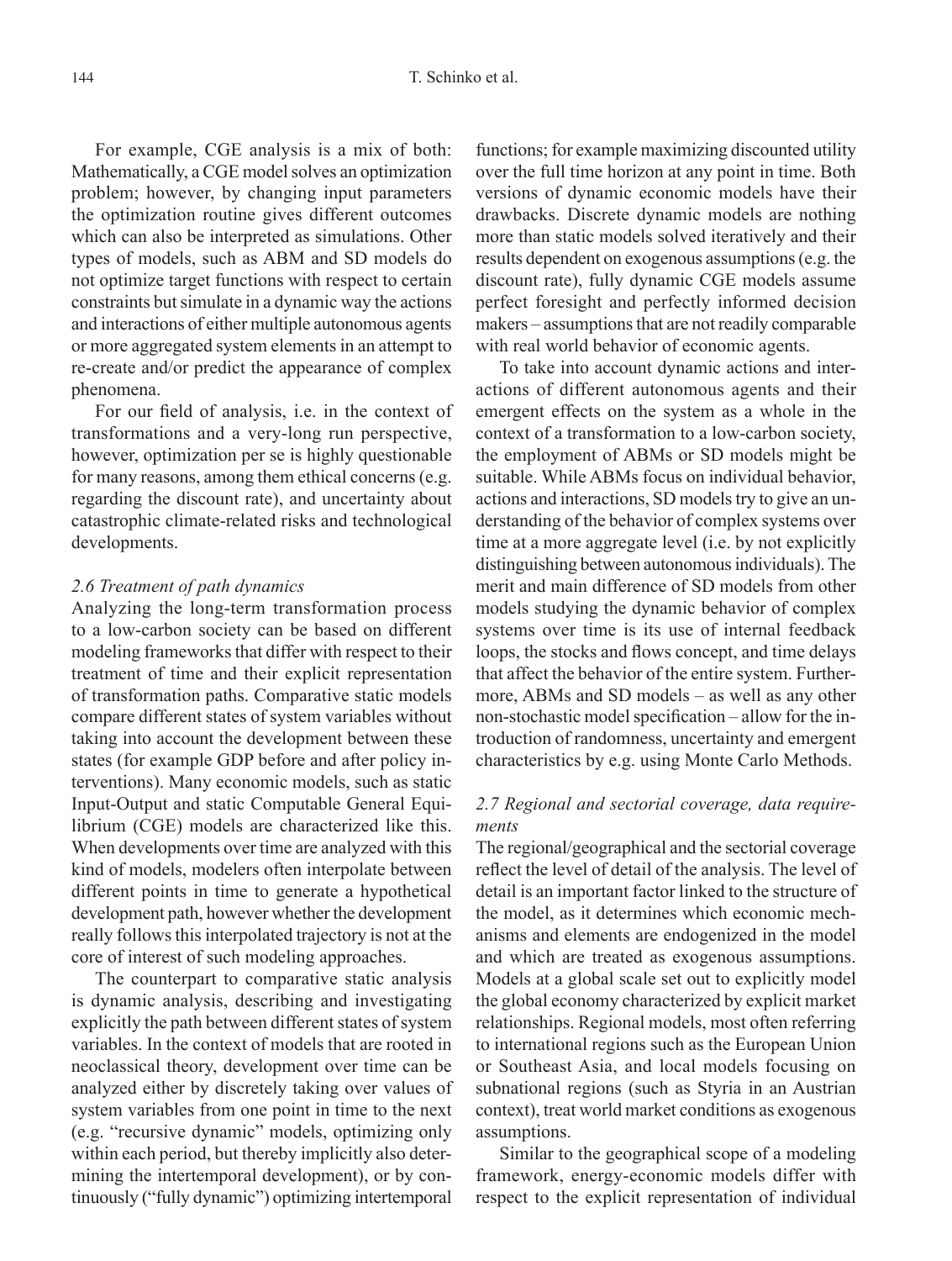For example, CGE analysis is a mix of both: Mathematically, a CGE model solves an optimization problem; however, by changing input parameters the optimization routine gives different outcomes which can also be interpreted as simulations. Other types of models, such as ABM and SD models do not optimize target functions with respect to certain constraints but simulate in a dynamic way the actions and interactions of either multiple autonomous agents or more aggregated system elements in an attempt to re-create and/or predict the appearance of complex phenomena.

For our field of analysis, i.e. in the context of transformations and a very-long run perspective, however, optimization per se is highly questionable for many reasons, among them ethical concerns (e.g. regarding the discount rate), and uncertainty about catastrophic climate-related risks and technological developments.

#### *2.6 Treatment of path dynamics*

Analyzing the long-term transformation process to a low-carbon society can be based on different modeling frameworks that differ with respect to their treatment of time and their explicit representation of transformation paths. Comparative static models compare different states of system variables without taking into account the development between these states (for example GDP before and after policy interventions). Many economic models, such as static Input-Output and static Computable General Equilibrium (CGE) models are characterized like this. When developments over time are analyzed with this kind of models, modelers often interpolate between different points in time to generate a hypothetical development path, however whether the development really follows this interpolated trajectory is not at the core of interest of such modeling approaches.

The counterpart to comparative static analysis is dynamic analysis, describing and investigating explicitly the path between different states of system variables. In the context of models that are rooted in neoclassical theory, development over time can be analyzed either by discretely taking over values of system variables from one point in time to the next (e.g. "recursive dynamic" models, optimizing only within each period, but thereby implicitly also determining the intertemporal development), or by continuously ("fully dynamic") optimizing intertemporal functions; for example maximizing discounted utility over the full time horizon at any point in time. Both versions of dynamic economic models have their drawbacks. Discrete dynamic models are nothing more than static models solved iteratively and their results dependent on exogenous assumptions (e.g. the discount rate), fully dynamic CGE models assume perfect foresight and perfectly informed decision makers – assumptions that are not readily comparable with real world behavior of economic agents.

To take into account dynamic actions and interactions of different autonomous agents and their emergent effects on the system as a whole in the context of a transformation to a low-carbon society, the employment of ABMs or SD models might be suitable. While ABMs focus on individual behavior, actions and interactions, SD models try to give an understanding of the behavior of complex systems over time at a more aggregate level (i.e. by not explicitly distinguishing between autonomous individuals). The merit and main difference of SD models from other models studying the dynamic behavior of complex systems over time is its use of internal feedback loops, the stocks and flows concept, and time delays that affect the behavior of the entire system. Furthermore, ABMs and SD models – as well as any other non-stochastic model specification – allow for the introduction of randomness, uncertainty and emergent characteristics by e.g. using Monte Carlo Methods.

# *2.7 Regional and sectorial coverage, data requirements*

The regional/geographical and the sectorial coverage reflect the level of detail of the analysis. The level of detail is an important factor linked to the structure of the model, as it determines which economic mechanisms and elements are endogenized in the model and which are treated as exogenous assumptions. Models at a global scale set out to explicitly model the global economy characterized by explicit market relationships. Regional models, most often referring to international regions such as the European Union or Southeast Asia, and local models focusing on subnational regions (such as Styria in an Austrian context), treat world market conditions as exogenous assumptions.

Similar to the geographical scope of a modeling framework, energy-economic models differ with respect to the explicit representation of individual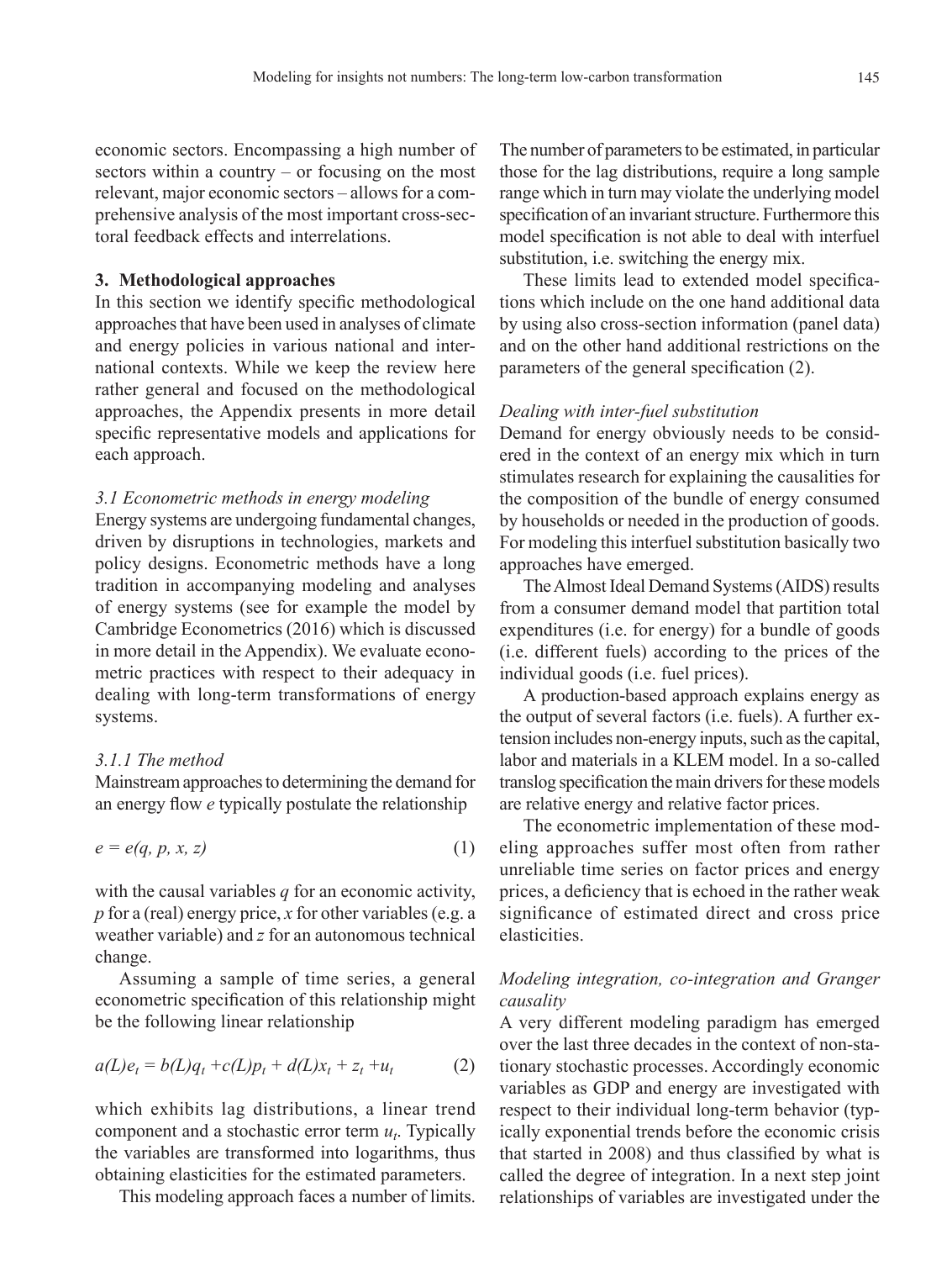economic sectors. Encompassing a high number of sectors within a country – or focusing on the most relevant, major economic sectors – allows for a comprehensive analysis of the most important cross-sectoral feedback effects and interrelations.

#### **3. Methodological approaches**

In this section we identify specific methodological approaches that have been used in analyses of climate and energy policies in various national and international contexts. While we keep the review here rather general and focused on the methodological approaches, the Appendix presents in more detail specific representative models and applications for each approach.

#### *3.1 Econometric methods in energy modeling*

Energy systems are undergoing fundamental changes, driven by disruptions in technologies, markets and policy designs. Econometric methods have a long tradition in accompanying modeling and analyses of energy systems (see for example the model by Cambridge Econometrics (2016) which is discussed in more detail in the Appendix). We evaluate econometric practices with respect to their adequacy in dealing with long-term transformations of energy systems.

#### *3.1.1 The method*

Mainstream approaches to determining the demand for an energy flow *e* typically postulate the relationship

$$
e = e(q, p, x, z) \tag{1}
$$

with the causal variables *q* for an economic activity, *p* for a (real) energy price, *x* for other variables (e.g. a weather variable) and *z* for an autonomous technical change.

Assuming a sample of time series, a general econometric specification of this relationship might be the following linear relationship

$$
a(L)e_t = b(L)q_t + c(L)p_t + d(L)x_t + z_t + u_t \tag{2}
$$

which exhibits lag distributions, a linear trend component and a stochastic error term *ut*. Typically the variables are transformed into logarithms, thus obtaining elasticities for the estimated parameters.

This modeling approach faces a number of limits.

The number of parameters to be estimated, in particular those for the lag distributions, require a long sample range which in turn may violate the underlying model specification of an invariant structure. Furthermore this model specification is not able to deal with interfuel substitution, i.e. switching the energy mix.

These limits lead to extended model specifications which include on the one hand additional data by using also cross-section information (panel data) and on the other hand additional restrictions on the parameters of the general specification (2).

#### *Dealing with inter-fuel substitution*

Demand for energy obviously needs to be considered in the context of an energy mix which in turn stimulates research for explaining the causalities for the composition of the bundle of energy consumed by households or needed in the production of goods. For modeling this interfuel substitution basically two approaches have emerged.

The Almost Ideal Demand Systems (AIDS) results from a consumer demand model that partition total expenditures (i.e. for energy) for a bundle of goods (i.e. different fuels) according to the prices of the individual goods (i.e. fuel prices).

A production-based approach explains energy as the output of several factors (i.e. fuels). A further extension includes non-energy inputs, such as the capital, labor and materials in a KLEM model. In a so-called translog specification the main drivers for these models are relative energy and relative factor prices.

The econometric implementation of these modeling approaches suffer most often from rather unreliable time series on factor prices and energy prices, a deficiency that is echoed in the rather weak significance of estimated direct and cross price elasticities.

### *Modeling integration, co-integration and Granger causality*

A very different modeling paradigm has emerged over the last three decades in the context of non-stationary stochastic processes. Accordingly economic variables as GDP and energy are investigated with respect to their individual long-term behavior (typically exponential trends before the economic crisis that started in 2008) and thus classified by what is called the degree of integration. In a next step joint relationships of variables are investigated under the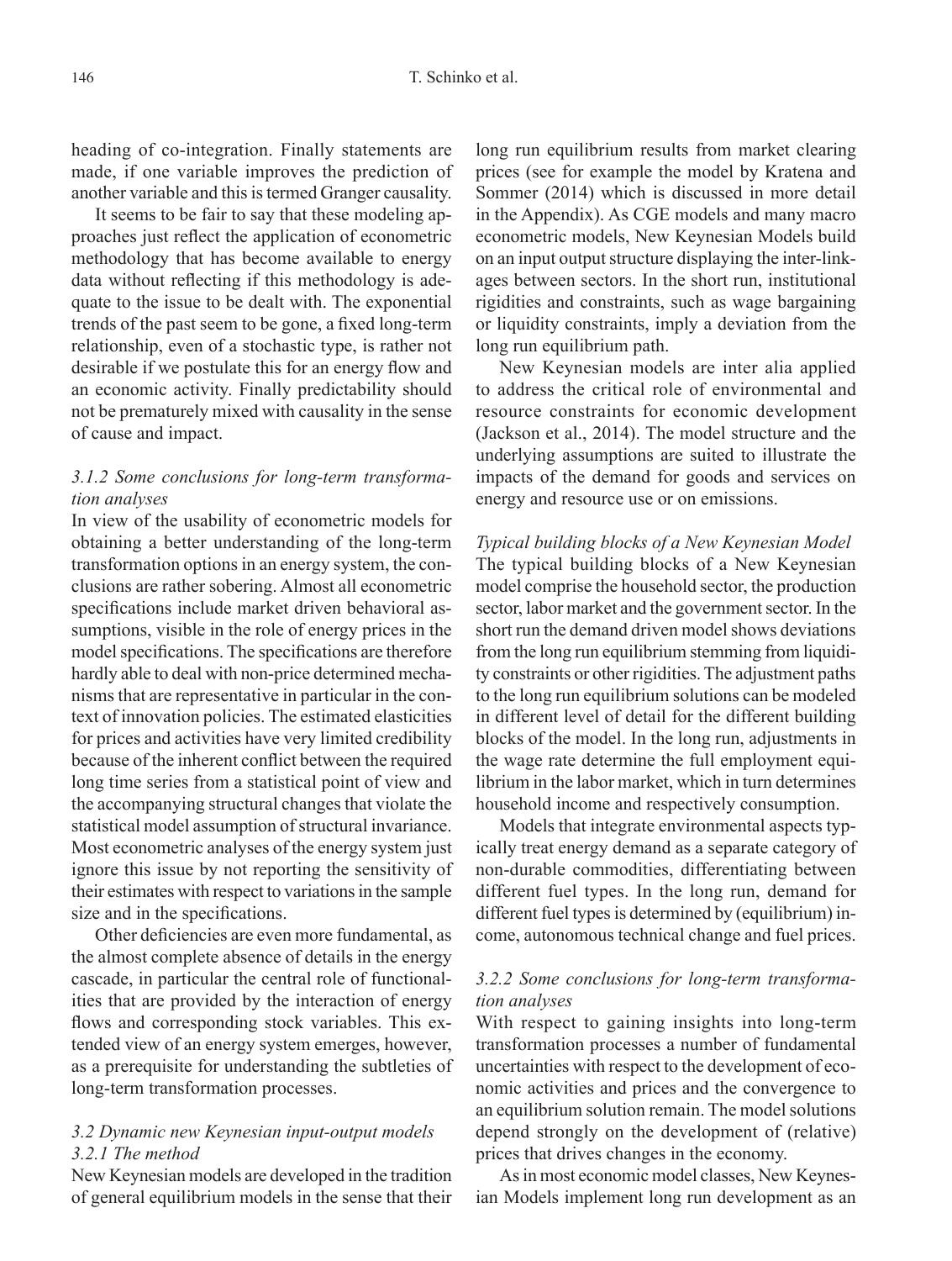heading of co-integration. Finally statements are made, if one variable improves the prediction of another variable and this is termed Granger causality.

It seems to be fair to say that these modeling approaches just reflect the application of econometric methodology that has become available to energy data without reflecting if this methodology is adequate to the issue to be dealt with. The exponential trends of the past seem to be gone, a fixed long-term relationship, even of a stochastic type, is rather not desirable if we postulate this for an energy flow and an economic activity. Finally predictability should not be prematurely mixed with causality in the sense of cause and impact.

### *3.1.2 Some conclusions for long-term transformation analyses*

In view of the usability of econometric models for obtaining a better understanding of the long-term transformation options in an energy system, the conclusions are rather sobering. Almost all econometric specifications include market driven behavioral assumptions, visible in the role of energy prices in the model specifications. The specifications are therefore hardly able to deal with non-price determined mechanisms that are representative in particular in the context of innovation policies. The estimated elasticities for prices and activities have very limited credibility because of the inherent conflict between the required long time series from a statistical point of view and the accompanying structural changes that violate the statistical model assumption of structural invariance. Most econometric analyses of the energy system just ignore this issue by not reporting the sensitivity of their estimates with respect to variations in the sample size and in the specifications.

Other deficiencies are even more fundamental, as the almost complete absence of details in the energy cascade, in particular the central role of functionalities that are provided by the interaction of energy flows and corresponding stock variables. This extended view of an energy system emerges, however, as a prerequisite for understanding the subtleties of long-term transformation processes.

# *3.2 Dynamic new Keynesian input-output models 3.2.1 The method*

New Keynesian models are developed in the tradition of general equilibrium models in the sense that their long run equilibrium results from market clearing prices (see for example the model by Kratena and Sommer (2014) which is discussed in more detail in the Appendix). As CGE models and many macro econometric models, New Keynesian Models build on an input output structure displaying the inter-linkages between sectors. In the short run, institutional rigidities and constraints, such as wage bargaining or liquidity constraints, imply a deviation from the long run equilibrium path.

New Keynesian models are inter alia applied to address the critical role of environmental and resource constraints for economic development (Jackson et al., 2014). The model structure and the underlying assumptions are suited to illustrate the impacts of the demand for goods and services on energy and resource use or on emissions.

*Typical building blocks of a New Keynesian Model* The typical building blocks of a New Keynesian model comprise the household sector, the production sector, labor market and the government sector. In the short run the demand driven model shows deviations from the long run equilibrium stemming from liquidity constraints or other rigidities. The adjustment paths to the long run equilibrium solutions can be modeled in different level of detail for the different building blocks of the model. In the long run, adjustments in the wage rate determine the full employment equilibrium in the labor market, which in turn determines household income and respectively consumption.

Models that integrate environmental aspects typically treat energy demand as a separate category of non-durable commodities, differentiating between different fuel types. In the long run, demand for different fuel types is determined by (equilibrium) income, autonomous technical change and fuel prices.

### *3.2.2 Some conclusions for long-term transformation analyses*

With respect to gaining insights into long-term transformation processes a number of fundamental uncertainties with respect to the development of economic activities and prices and the convergence to an equilibrium solution remain. The model solutions depend strongly on the development of (relative) prices that drives changes in the economy.

As in most economic model classes, New Keynesian Models implement long run development as an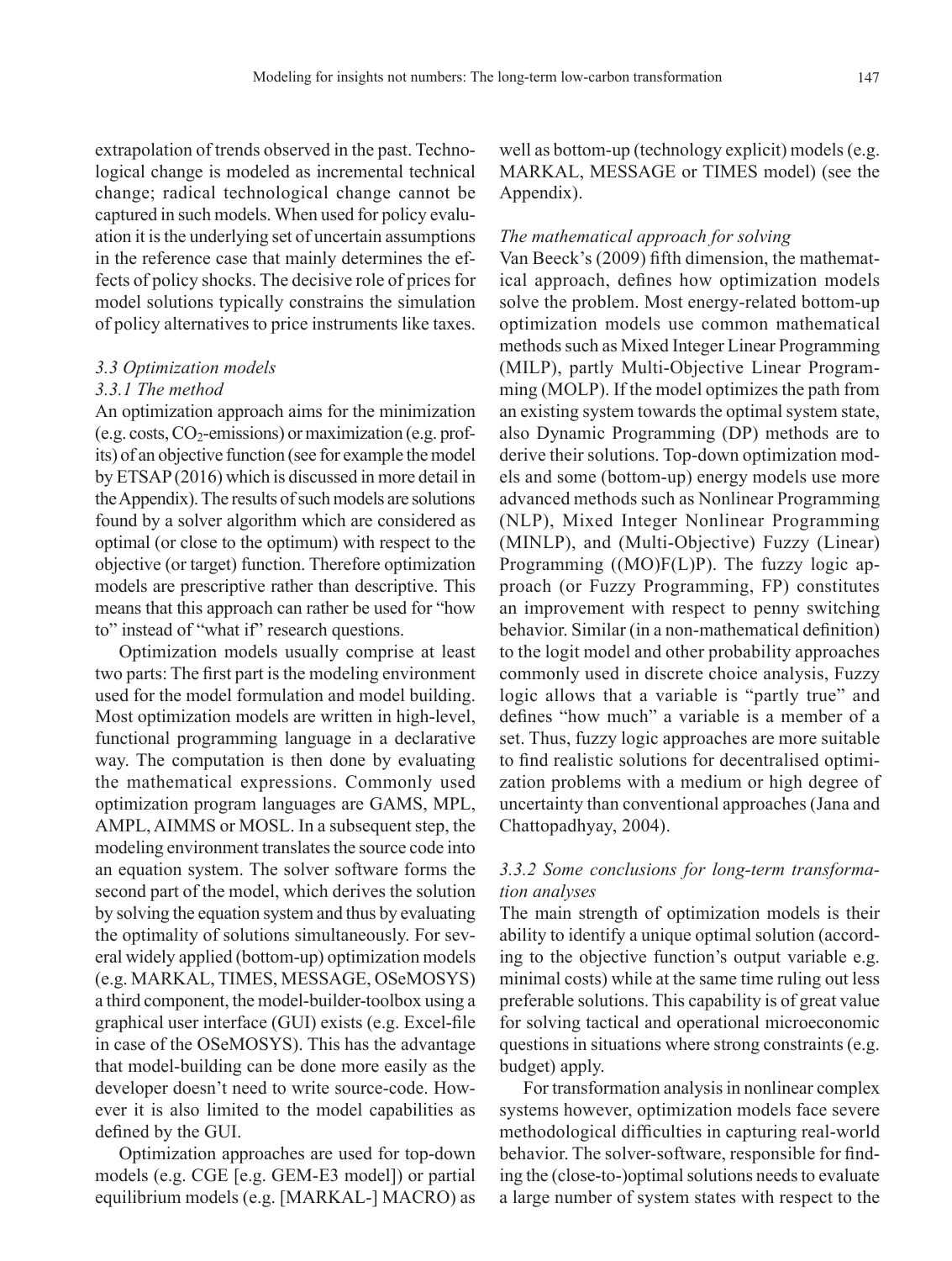extrapolation of trends observed in the past. Technological change is modeled as incremental technical change; radical technological change cannot be captured in such models. When used for policy evaluation it is the underlying set of uncertain assumptions in the reference case that mainly determines the effects of policy shocks. The decisive role of prices for model solutions typically constrains the simulation of policy alternatives to price instruments like taxes.

### *3.3 Optimization models*

### *3.3.1 The method*

An optimization approach aims for the minimization (e.g. costs,  $CO<sub>2</sub>$ -emissions) or maximization (e.g. profits) of an objective function (see for example the model by ETSAP (2016) which is discussed in more detail in the Appendix). The results of such models are solutions found by a solver algorithm which are considered as optimal (or close to the optimum) with respect to the objective (or target) function. Therefore optimization models are prescriptive rather than descriptive. This means that this approach can rather be used for "how to" instead of "what if" research questions.

Optimization models usually comprise at least two parts: The first part is the modeling environment used for the model formulation and model building. Most optimization models are written in high-level, functional programming language in a declarative way. The computation is then done by evaluating the mathematical expressions. Commonly used optimization program languages are GAMS, MPL, AMPL, AIMMS or MOSL. In a subsequent step, the modeling environment translates the source code into an equation system. The solver software forms the second part of the model, which derives the solution by solving the equation system and thus by evaluating the optimality of solutions simultaneously. For several widely applied (bottom-up) optimization models (e.g. MARKAL, TIMES, MESSAGE, OSeMOSYS) a third component, the model-builder-toolbox using a graphical user interface (GUI) exists (e.g. Excel-file in case of the OSeMOSYS). This has the advantage that model-building can be done more easily as the developer doesn't need to write source-code. However it is also limited to the model capabilities as defined by the GUI.

Optimization approaches are used for top-down models (e.g. CGE [e.g. GEM-E3 model]) or partial equilibrium models (e.g. [MARKAL-] MACRO) as

well as bottom-up (technology explicit) models (e.g. MARKAL, MESSAGE or TIMES model) (see the Appendix).

### *The mathematical approach for solving*

Van Beeck's (2009) fifth dimension, the mathematical approach, defines how optimization models solve the problem. Most energy-related bottom-up optimization models use common mathematical methods such as Mixed Integer Linear Programming (MILP), partly Multi-Objective Linear Programming (MOLP). If the model optimizes the path from an existing system towards the optimal system state, also Dynamic Programming (DP) methods are to derive their solutions. Top-down optimization models and some (bottom-up) energy models use more advanced methods such as Nonlinear Programming (NLP), Mixed Integer Nonlinear Programming (MINLP), and (Multi-Objective) Fuzzy (Linear) Programming ((MO)F(L)P). The fuzzy logic approach (or Fuzzy Programming, FP) constitutes an improvement with respect to penny switching behavior. Similar (in a non-mathematical definition) to the logit model and other probability approaches commonly used in discrete choice analysis, Fuzzy logic allows that a variable is "partly true" and defines "how much" a variable is a member of a set. Thus, fuzzy logic approaches are more suitable to find realistic solutions for decentralised optimization problems with a medium or high degree of uncertainty than conventional approaches (Jana and Chattopadhyay, 2004).

# *3.3.2 Some conclusions for long-term transformation analyses*

The main strength of optimization models is their ability to identify a unique optimal solution (according to the objective function's output variable e.g. minimal costs) while at the same time ruling out less preferable solutions. This capability is of great value for solving tactical and operational microeconomic questions in situations where strong constraints (e.g. budget) apply.

For transformation analysis in nonlinear complex systems however, optimization models face severe methodological difficulties in capturing real-world behavior. The solver-software, responsible for finding the (close-to-)optimal solutions needs to evaluate a large number of system states with respect to the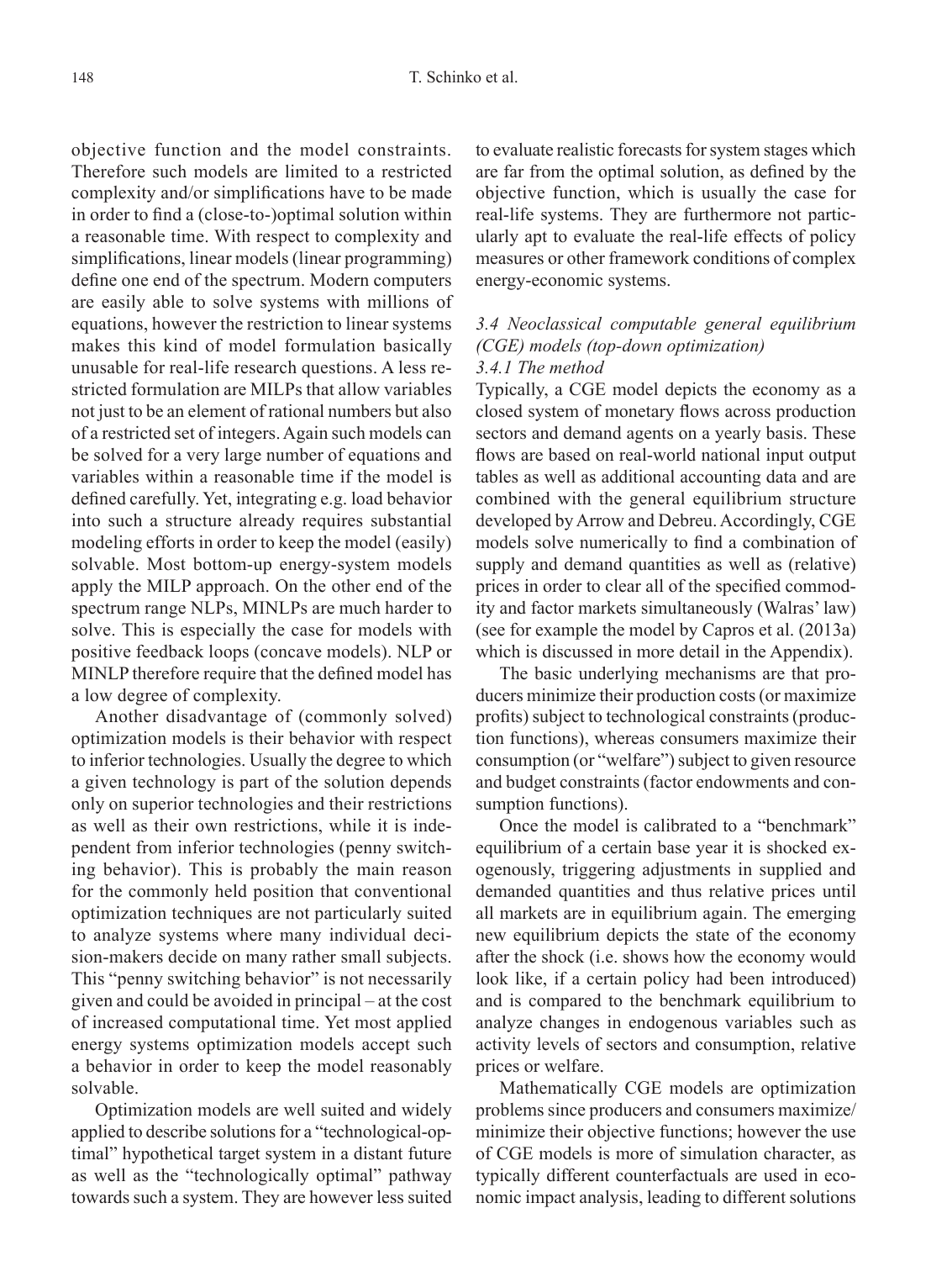objective function and the model constraints. Therefore such models are limited to a restricted complexity and/or simplifications have to be made in order to find a (close-to-)optimal solution within a reasonable time. With respect to complexity and simplifications, linear models (linear programming) define one end of the spectrum. Modern computers are easily able to solve systems with millions of equations, however the restriction to linear systems makes this kind of model formulation basically unusable for real-life research questions. A less restricted formulation are MILPs that allow variables not just to be an element of rational numbers but also of a restricted set of integers. Again such models can be solved for a very large number of equations and variables within a reasonable time if the model is defined carefully. Yet, integrating e.g. load behavior into such a structure already requires substantial modeling efforts in order to keep the model (easily) solvable. Most bottom-up energy-system models apply the MILP approach. On the other end of the spectrum range NLPs, MINLPs are much harder to solve. This is especially the case for models with positive feedback loops (concave models). NLP or MINLP therefore require that the defined model has a low degree of complexity.

Another disadvantage of (commonly solved) optimization models is their behavior with respect to inferior technologies. Usually the degree to which a given technology is part of the solution depends only on superior technologies and their restrictions as well as their own restrictions, while it is independent from inferior technologies (penny switching behavior). This is probably the main reason for the commonly held position that conventional optimization techniques are not particularly suited to analyze systems where many individual decision-makers decide on many rather small subjects. This "penny switching behavior" is not necessarily given and could be avoided in principal – at the cost of increased computational time. Yet most applied energy systems optimization models accept such a behavior in order to keep the model reasonably solvable.

Optimization models are well suited and widely applied to describe solutions for a "technological-optimal" hypothetical target system in a distant future as well as the "technologically optimal" pathway towards such a system. They are however less suited to evaluate realistic forecasts for system stages which are far from the optimal solution, as defined by the objective function, which is usually the case for real-life systems. They are furthermore not particularly apt to evaluate the real-life effects of policy measures or other framework conditions of complex energy-economic systems.

### *3.4 Neoclassical computable general equilibrium (CGE) models (top-down optimization) 3.4.1 The method*

Typically, a CGE model depicts the economy as a closed system of monetary flows across production sectors and demand agents on a yearly basis. These flows are based on real-world national input output tables as well as additional accounting data and are combined with the general equilibrium structure developed by Arrow and Debreu. Accordingly, CGE models solve numerically to find a combination of supply and demand quantities as well as (relative) prices in order to clear all of the specified commodity and factor markets simultaneously (Walras' law) (see for example the model by Capros et al. (2013a) which is discussed in more detail in the Appendix).

The basic underlying mechanisms are that producers minimize their production costs (or maximize profits) subject to technological constraints (production functions), whereas consumers maximize their consumption (or "welfare") subject to given resource and budget constraints (factor endowments and consumption functions).

Once the model is calibrated to a "benchmark" equilibrium of a certain base year it is shocked exogenously, triggering adjustments in supplied and demanded quantities and thus relative prices until all markets are in equilibrium again. The emerging new equilibrium depicts the state of the economy after the shock (i.e. shows how the economy would look like, if a certain policy had been introduced) and is compared to the benchmark equilibrium to analyze changes in endogenous variables such as activity levels of sectors and consumption, relative prices or welfare.

Mathematically CGE models are optimization problems since producers and consumers maximize/ minimize their objective functions; however the use of CGE models is more of simulation character, as typically different counterfactuals are used in economic impact analysis, leading to different solutions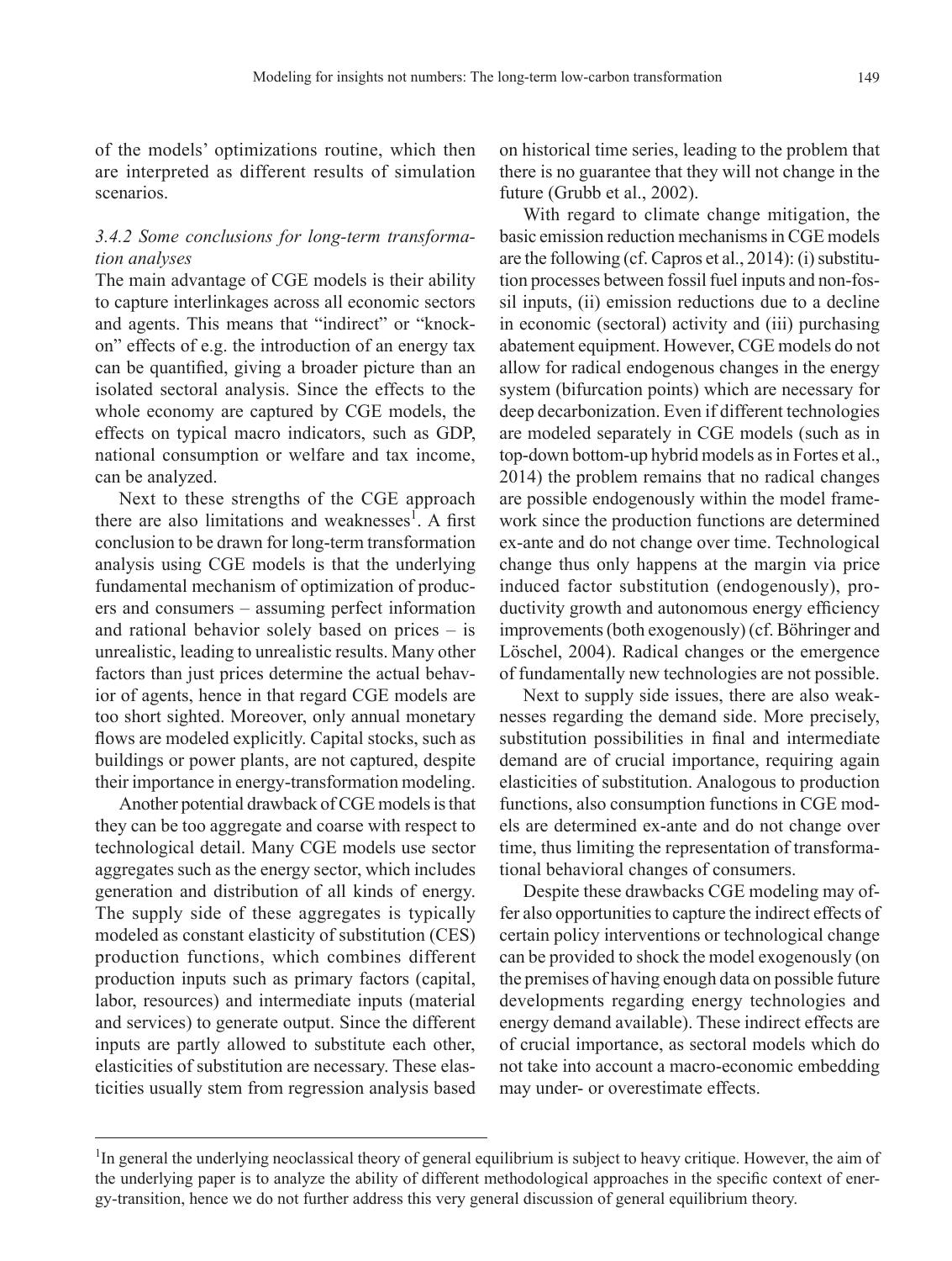of the models' optimizations routine, which then are interpreted as different results of simulation scenarios.

# *3.4.2 Some conclusions for long-term transformation analyses*

The main advantage of CGE models is their ability to capture interlinkages across all economic sectors and agents. This means that "indirect" or "knockon" effects of e.g. the introduction of an energy tax can be quantified, giving a broader picture than an isolated sectoral analysis. Since the effects to the whole economy are captured by CGE models, the effects on typical macro indicators, such as GDP, national consumption or welfare and tax income, can be analyzed.

Next to these strengths of the CGE approach there are also limitations and weaknesses<sup>1</sup>. A first conclusion to be drawn for long-term transformation analysis using CGE models is that the underlying fundamental mechanism of optimization of producers and consumers – assuming perfect information and rational behavior solely based on prices – is unrealistic, leading to unrealistic results. Many other factors than just prices determine the actual behavior of agents, hence in that regard CGE models are too short sighted. Moreover, only annual monetary flows are modeled explicitly. Capital stocks, such as buildings or power plants, are not captured, despite their importance in energy-transformation modeling.

Another potential drawback of CGE models is that they can be too aggregate and coarse with respect to technological detail. Many CGE models use sector aggregates such as the energy sector, which includes generation and distribution of all kinds of energy. The supply side of these aggregates is typically modeled as constant elasticity of substitution (CES) production functions, which combines different production inputs such as primary factors (capital, labor, resources) and intermediate inputs (material and services) to generate output. Since the different inputs are partly allowed to substitute each other, elasticities of substitution are necessary. These elasticities usually stem from regression analysis based

on historical time series, leading to the problem that there is no guarantee that they will not change in the future (Grubb et al., 2002).

With regard to climate change mitigation, the basic emission reduction mechanisms in CGE models are the following (cf. Capros et al., 2014): (i) substitution processes between fossil fuel inputs and non-fossil inputs, (ii) emission reductions due to a decline in economic (sectoral) activity and (iii) purchasing abatement equipment. However, CGE models do not allow for radical endogenous changes in the energy system (bifurcation points) which are necessary for deep decarbonization. Even if different technologies are modeled separately in CGE models (such as in top-down bottom-up hybrid models as in Fortes et al., 2014) the problem remains that no radical changes are possible endogenously within the model framework since the production functions are determined ex-ante and do not change over time. Technological change thus only happens at the margin via price induced factor substitution (endogenously), productivity growth and autonomous energy efficiency improvements (both exogenously) (cf. Böhringer and Löschel, 2004). Radical changes or the emergence of fundamentally new technologies are not possible.

Next to supply side issues, there are also weaknesses regarding the demand side. More precisely, substitution possibilities in final and intermediate demand are of crucial importance, requiring again elasticities of substitution. Analogous to production functions, also consumption functions in CGE models are determined ex-ante and do not change over time, thus limiting the representation of transformational behavioral changes of consumers.

Despite these drawbacks CGE modeling may offer also opportunities to capture the indirect effects of certain policy interventions or technological change can be provided to shock the model exogenously (on the premises of having enough data on possible future developments regarding energy technologies and energy demand available). These indirect effects are of crucial importance, as sectoral models which do not take into account a macro-economic embedding may under- or overestimate effects.

<sup>&</sup>lt;sup>1</sup>In general the underlying neoclassical theory of general equilibrium is subject to heavy critique. However, the aim of the underlying paper is to analyze the ability of different methodological approaches in the specific context of energy-transition, hence we do not further address this very general discussion of general equilibrium theory.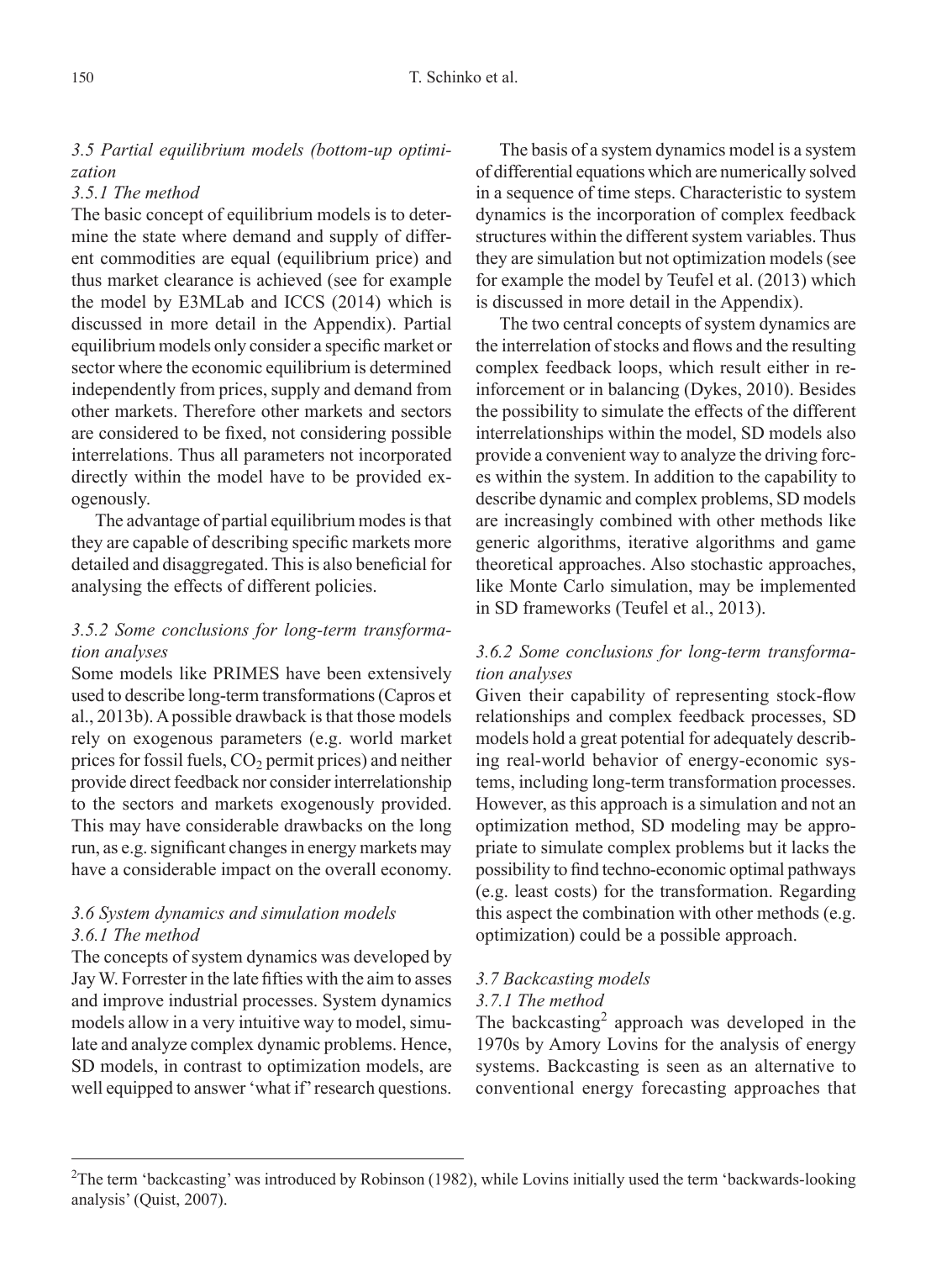# *3.5 Partial equilibrium models (bottom-up optimization*

# *3.5.1 The method*

The basic concept of equilibrium models is to determine the state where demand and supply of different commodities are equal (equilibrium price) and thus market clearance is achieved (see for example the model by E3MLab and ICCS (2014) which is discussed in more detail in the Appendix). Partial equilibrium models only consider a specific market or sector where the economic equilibrium is determined independently from prices, supply and demand from other markets. Therefore other markets and sectors are considered to be fixed, not considering possible interrelations. Thus all parameters not incorporated directly within the model have to be provided exogenously.

The advantage of partial equilibrium modes is that they are capable of describing specific markets more detailed and disaggregated. This is also beneficial for analysing the effects of different policies.

# *3.5.2 Some conclusions for long-term transformation analyses*

Some models like PRIMES have been extensively used to describe long-term transformations (Capros et al., 2013b). A possible drawback is that those models rely on exogenous parameters (e.g. world market prices for fossil fuels,  $CO<sub>2</sub>$  permit prices) and neither provide direct feedback nor consider interrelationship to the sectors and markets exogenously provided. This may have considerable drawbacks on the long run, as e.g. significant changes in energy markets may have a considerable impact on the overall economy.

# *3.6 System dynamics and simulation models 3.6.1 The method*

The concepts of system dynamics was developed by Jay W. Forrester in the late fifties with the aim to asses and improve industrial processes. System dynamics models allow in a very intuitive way to model, simulate and analyze complex dynamic problems. Hence, SD models, in contrast to optimization models, are well equipped to answer 'what if' research questions.

The basis of a system dynamics model is a system of differential equations which are numerically solved in a sequence of time steps. Characteristic to system dynamics is the incorporation of complex feedback structures within the different system variables. Thus they are simulation but not optimization models (see for example the model by Teufel et al. (2013) which is discussed in more detail in the Appendix).

The two central concepts of system dynamics are the interrelation of stocks and flows and the resulting complex feedback loops, which result either in reinforcement or in balancing (Dykes, 2010). Besides the possibility to simulate the effects of the different interrelationships within the model, SD models also provide a convenient way to analyze the driving forces within the system. In addition to the capability to describe dynamic and complex problems, SD models are increasingly combined with other methods like generic algorithms, iterative algorithms and game theoretical approaches. Also stochastic approaches, like Monte Carlo simulation, may be implemented in SD frameworks (Teufel et al., 2013).

# *3.6.2 Some conclusions for long-term transformation analyses*

Given their capability of representing stock-flow relationships and complex feedback processes, SD models hold a great potential for adequately describing real-world behavior of energy-economic systems, including long-term transformation processes. However, as this approach is a simulation and not an optimization method, SD modeling may be appropriate to simulate complex problems but it lacks the possibility to find techno-economic optimal pathways (e.g. least costs) for the transformation. Regarding this aspect the combination with other methods (e.g. optimization) could be a possible approach.

# *3.7 Backcasting models*

# *3.7.1 The method*

The backcasting<sup>2</sup> approach was developed in the 1970s by Amory Lovins for the analysis of energy systems. Backcasting is seen as an alternative to conventional energy forecasting approaches that

 $2$ The term 'backcasting' was introduced by Robinson (1982), while Lovins initially used the term 'backwards-looking analysis' (Quist, 2007).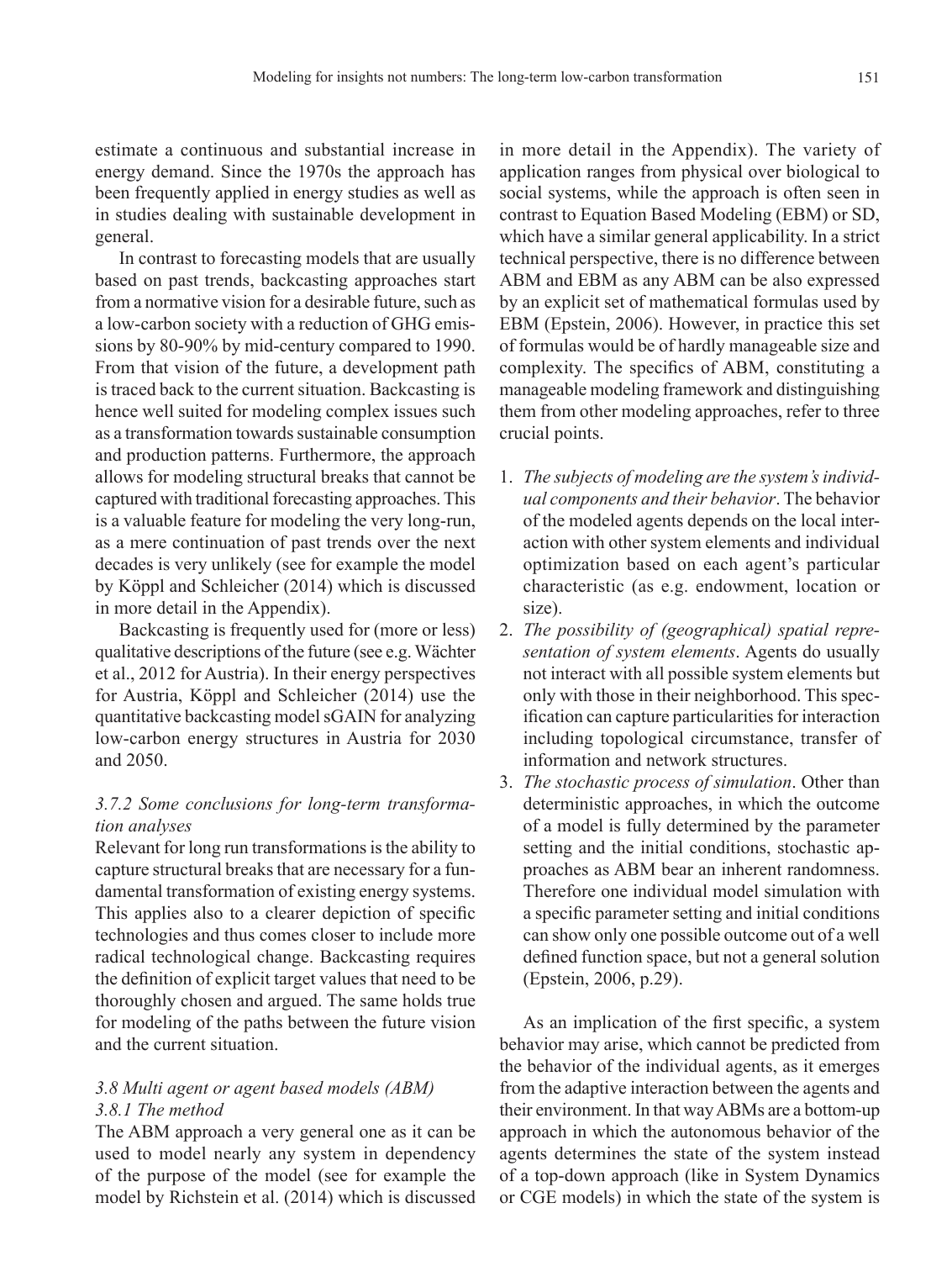estimate a continuous and substantial increase in energy demand. Since the 1970s the approach has been frequently applied in energy studies as well as in studies dealing with sustainable development in general.

In contrast to forecasting models that are usually based on past trends, backcasting approaches start from a normative vision for a desirable future, such as a low-carbon society with a reduction of GHG emissions by 80-90% by mid-century compared to 1990. From that vision of the future, a development path is traced back to the current situation. Backcasting is hence well suited for modeling complex issues such as a transformation towards sustainable consumption and production patterns. Furthermore, the approach allows for modeling structural breaks that cannot be captured with traditional forecasting approaches. This is a valuable feature for modeling the very long-run, as a mere continuation of past trends over the next decades is very unlikely (see for example the model by Köppl and Schleicher (2014) which is discussed in more detail in the Appendix).

Backcasting is frequently used for (more or less) qualitative descriptions of the future (see e.g. Wächter et al., 2012 for Austria). In their energy perspectives for Austria, Köppl and Schleicher (2014) use the quantitative backcasting model sGAIN for analyzing low-carbon energy structures in Austria for 2030 and 2050.

# *3.7.2 Some conclusions for long-term transformation analyses*

Relevant for long run transformations is the ability to capture structural breaks that are necessary for a fundamental transformation of existing energy systems. This applies also to a clearer depiction of specific technologies and thus comes closer to include more radical technological change. Backcasting requires the definition of explicit target values that need to be thoroughly chosen and argued. The same holds true for modeling of the paths between the future vision and the current situation.

# *3.8 Multi agent or agent based models (ABM) 3.8.1 The method*

The ABM approach a very general one as it can be used to model nearly any system in dependency of the purpose of the model (see for example the model by Richstein et al. (2014) which is discussed in more detail in the Appendix). The variety of application ranges from physical over biological to social systems, while the approach is often seen in contrast to Equation Based Modeling (EBM) or SD, which have a similar general applicability. In a strict technical perspective, there is no difference between ABM and EBM as any ABM can be also expressed by an explicit set of mathematical formulas used by EBM (Epstein, 2006). However, in practice this set of formulas would be of hardly manageable size and complexity. The specifics of ABM, constituting a manageable modeling framework and distinguishing them from other modeling approaches, refer to three crucial points.

- 1. *The subjects of modeling are the system's individual components and their behavior*. The behavior of the modeled agents depends on the local interaction with other system elements and individual optimization based on each agent's particular characteristic (as e.g. endowment, location or size).
- 2. *The possibility of (geographical) spatial representation of system elements*. Agents do usually not interact with all possible system elements but only with those in their neighborhood. This specification can capture particularities for interaction including topological circumstance, transfer of information and network structures.
- 3. *The stochastic process of simulation*. Other than deterministic approaches, in which the outcome of a model is fully determined by the parameter setting and the initial conditions, stochastic approaches as ABM bear an inherent randomness. Therefore one individual model simulation with a specific parameter setting and initial conditions can show only one possible outcome out of a well defined function space, but not a general solution (Epstein, 2006, p.29).

As an implication of the first specific, a system behavior may arise, which cannot be predicted from the behavior of the individual agents, as it emerges from the adaptive interaction between the agents and their environment. In that way ABMs are a bottom-up approach in which the autonomous behavior of the agents determines the state of the system instead of a top-down approach (like in System Dynamics or CGE models) in which the state of the system is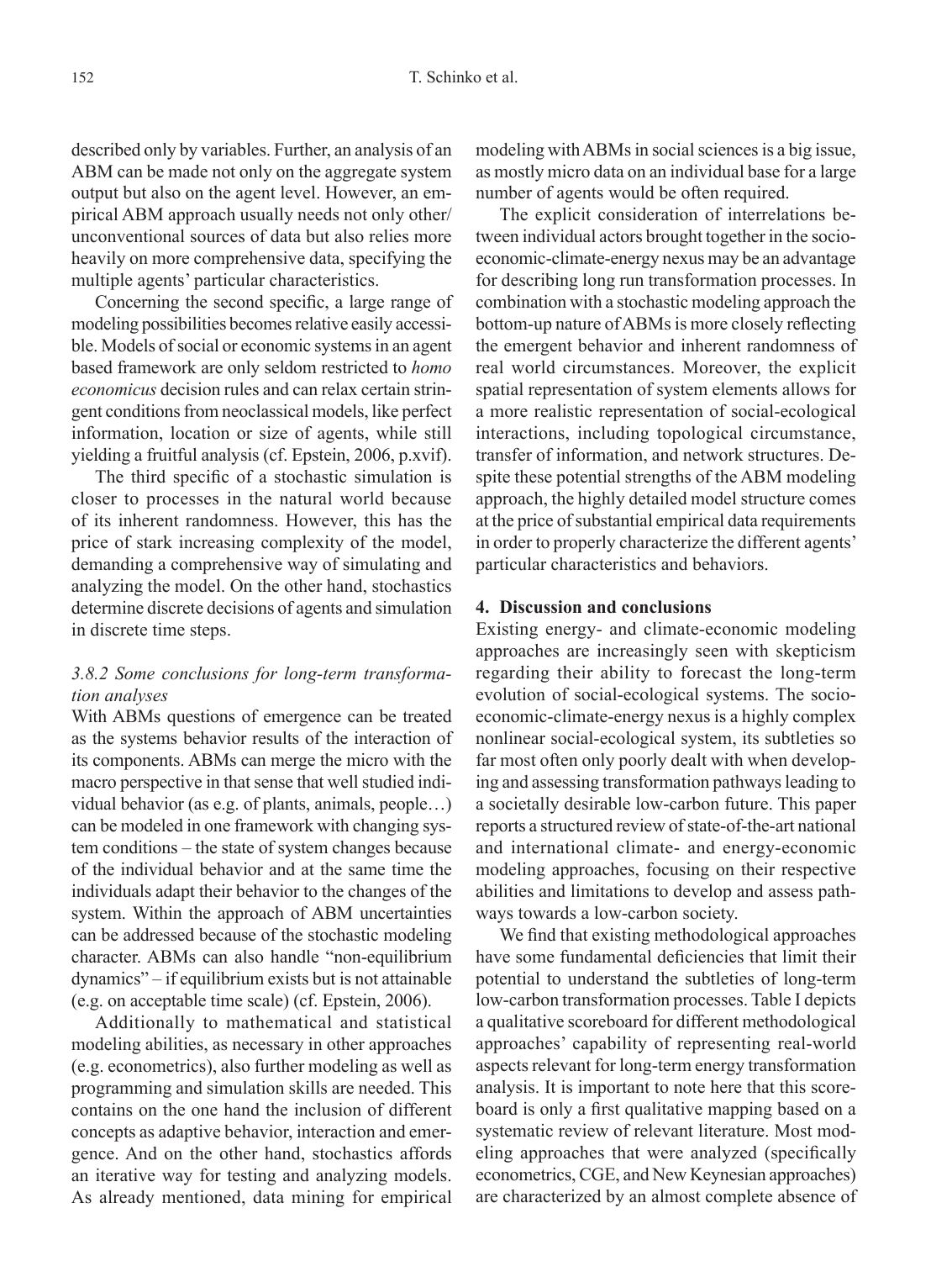described only by variables. Further, an analysis of an ABM can be made not only on the aggregate system output but also on the agent level. However, an empirical ABM approach usually needs not only other/ unconventional sources of data but also relies more heavily on more comprehensive data, specifying the multiple agents' particular characteristics.

Concerning the second specific, a large range of modeling possibilities becomes relative easily accessible. Models of social or economic systems in an agent based framework are only seldom restricted to *homo economicus* decision rules and can relax certain stringent conditions from neoclassical models, like perfect information, location or size of agents, while still yielding a fruitful analysis (cf. Epstein, 2006, p.xvif).

The third specific of a stochastic simulation is closer to processes in the natural world because of its inherent randomness. However, this has the price of stark increasing complexity of the model, demanding a comprehensive way of simulating and analyzing the model. On the other hand, stochastics determine discrete decisions of agents and simulation in discrete time steps.

# *3.8.2 Some conclusions for long-term transformation analyses*

With ABMs questions of emergence can be treated as the systems behavior results of the interaction of its components. ABMs can merge the micro with the macro perspective in that sense that well studied individual behavior (as e.g. of plants, animals, people…) can be modeled in one framework with changing system conditions – the state of system changes because of the individual behavior and at the same time the individuals adapt their behavior to the changes of the system. Within the approach of ABM uncertainties can be addressed because of the stochastic modeling character. ABMs can also handle "non-equilibrium dynamics" – if equilibrium exists but is not attainable (e.g. on acceptable time scale) (cf. Epstein, 2006).

Additionally to mathematical and statistical modeling abilities, as necessary in other approaches (e.g. econometrics), also further modeling as well as programming and simulation skills are needed. This contains on the one hand the inclusion of different concepts as adaptive behavior, interaction and emergence. And on the other hand, stochastics affords an iterative way for testing and analyzing models. As already mentioned, data mining for empirical modeling with ABMs in social sciences is a big issue, as mostly micro data on an individual base for a large number of agents would be often required.

The explicit consideration of interrelations between individual actors brought together in the socioeconomic-climate-energy nexus may be an advantage for describing long run transformation processes. In combination with a stochastic modeling approach the bottom-up nature of ABMs is more closely reflecting the emergent behavior and inherent randomness of real world circumstances. Moreover, the explicit spatial representation of system elements allows for a more realistic representation of social-ecological interactions, including topological circumstance, transfer of information, and network structures. Despite these potential strengths of the ABM modeling approach, the highly detailed model structure comes at the price of substantial empirical data requirements in order to properly characterize the different agents' particular characteristics and behaviors.

### **4. Discussion and conclusions**

Existing energy- and climate-economic modeling approaches are increasingly seen with skepticism regarding their ability to forecast the long-term evolution of social-ecological systems. The socioeconomic-climate-energy nexus is a highly complex nonlinear social-ecological system, its subtleties so far most often only poorly dealt with when developing and assessing transformation pathways leading to a societally desirable low-carbon future. This paper reports a structured review of state-of-the-art national and international climate- and energy-economic modeling approaches, focusing on their respective abilities and limitations to develop and assess pathways towards a low-carbon society.

We find that existing methodological approaches have some fundamental deficiencies that limit their potential to understand the subtleties of long-term low-carbon transformation processes. Table I depicts a qualitative scoreboard for different methodological approaches' capability of representing real-world aspects relevant for long-term energy transformation analysis. It is important to note here that this scoreboard is only a first qualitative mapping based on a systematic review of relevant literature. Most modeling approaches that were analyzed (specifically econometrics, CGE, and New Keynesian approaches) are characterized by an almost complete absence of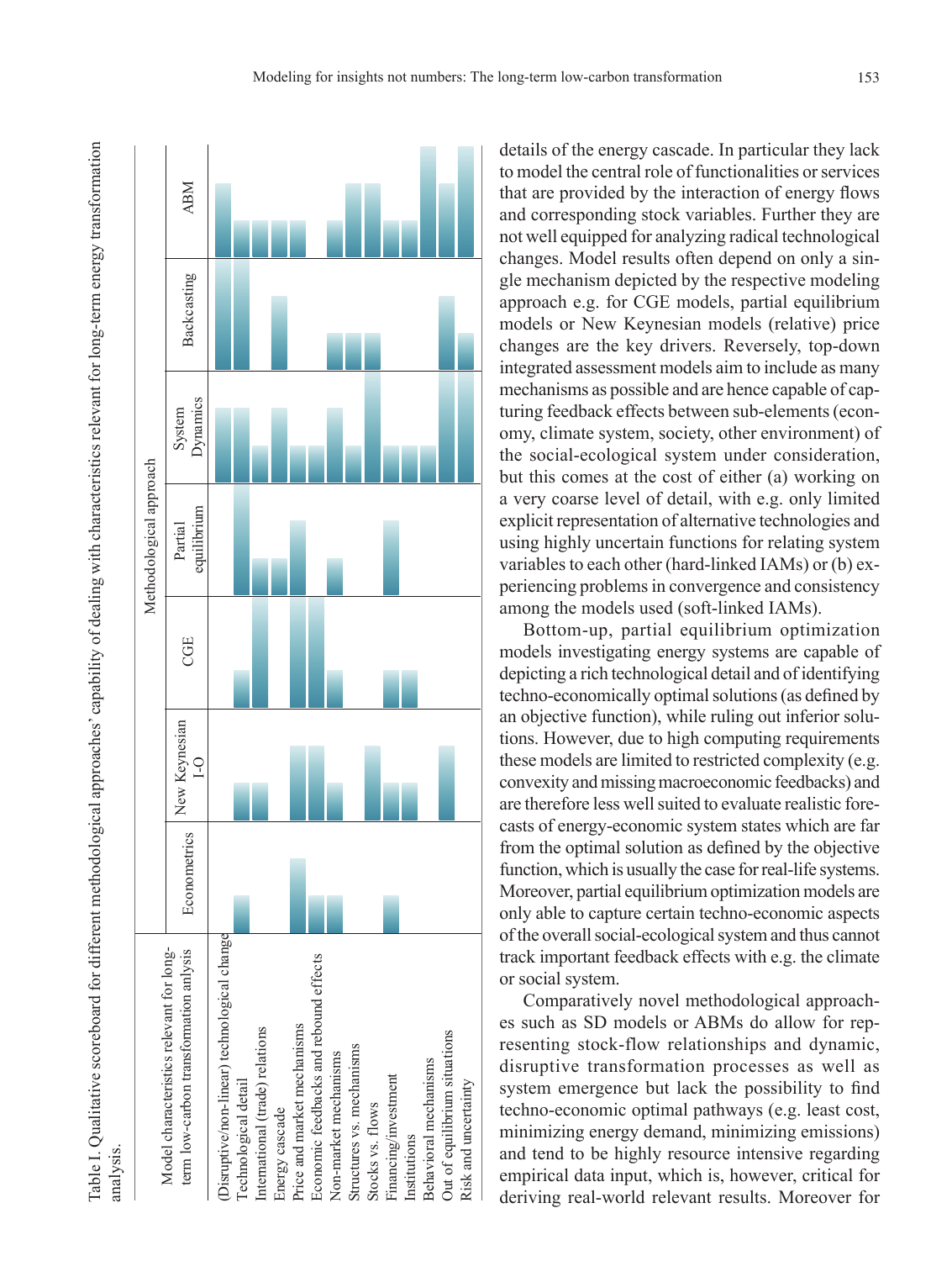

|                                                                                    |                                                                        |     | Methodological approach |                    |             |            |
|------------------------------------------------------------------------------------|------------------------------------------------------------------------|-----|-------------------------|--------------------|-------------|------------|
| Model characteristics relevant for long-<br>term low-carbon transformation anlysis | $\ensuremath{\textsc{Econometrics}}$   New Keynesian<br>$\overline{C}$ | CGE | equilibrium<br>Partial  | System<br>Dynamics | Backcasting | <b>ABM</b> |
| Disruptive/non-linear) technological change                                        |                                                                        |     |                         |                    |             |            |
| Technological detail                                                               |                                                                        |     |                         |                    |             |            |
| International (trade) relations                                                    |                                                                        |     |                         |                    |             |            |
| Energy cascade                                                                     |                                                                        |     |                         |                    |             |            |
| Price and market mechanisms                                                        |                                                                        |     |                         |                    |             |            |
| Economic feedbacks and rebound effects                                             |                                                                        |     |                         |                    |             |            |
| Non-market mechanisms                                                              |                                                                        |     |                         |                    |             |            |
| Structures vs. mechanisms                                                          |                                                                        |     |                         |                    |             |            |
| Stocks vs. flows                                                                   |                                                                        |     |                         |                    |             |            |
| Financing/investment                                                               |                                                                        |     |                         |                    |             |            |
| Institutions                                                                       |                                                                        |     |                         |                    |             |            |
| Behavioral mechanisms                                                              |                                                                        |     |                         |                    |             |            |
| Out of equilibrium situations                                                      |                                                                        |     |                         |                    |             |            |
| Risk and uncertainty                                                               |                                                                        |     |                         |                    |             |            |

details of the energy cascade. In particular they lack to model the central role of functionalities or services that are provided by the interaction of energy flows and corresponding stock variables. Further they are not well equipped for analyzing radical technological changes. Model results often depend on only a single mechanism depicted by the respective modeling approach e.g. for CGE models, partial equilibrium models or New Keynesian models (relative) price changes are the key drivers. Reversely, top-down integrated assessment models aim to include as many mechanisms as possible and are hence capable of capturing feedback effects between sub-elements (economy, climate system, society, other environment) of the social-ecological system under consideration, but this comes at the cost of either (a) working on a very coarse level of detail, with e.g. only limited explicit representation of alternative technologies and using highly uncertain functions for relating system variables to each other (hard-linked IAMs) or (b) experiencing problems in convergence and consistency among the models used (soft-linked IAMs).

Bottom-up, partial equilibrium optimization models investigating energy systems are capable of depicting a rich technological detail and of identifying techno-economically optimal solutions (as defined by an objective function), while ruling out inferior solutions. However, due to high computing requirements these models are limited to restricted complexity (e.g. convexity and missing macroeconomic feedbacks) and are therefore less well suited to evaluate realistic forecasts of energy-economic system states which are far from the optimal solution as defined by the objective function, which is usually the case for real-life systems. Moreover, partial equilibrium optimization models are only able to capture certain techno-economic aspects of the overall social-ecological system and thus cannot track important feedback effects with e.g. the climate or social system.

Comparatively novel methodological approaches such as SD models or ABMs do allow for representing stock-flow relationships and dynamic, disruptive transformation processes as well as system emergence but lack the possibility to find techno-economic optimal pathways (e.g. least cost, minimizing energy demand, minimizing emissions) and tend to be highly resource intensive regarding empirical data input, which is, however, critical for deriving real-world relevant results. Moreover for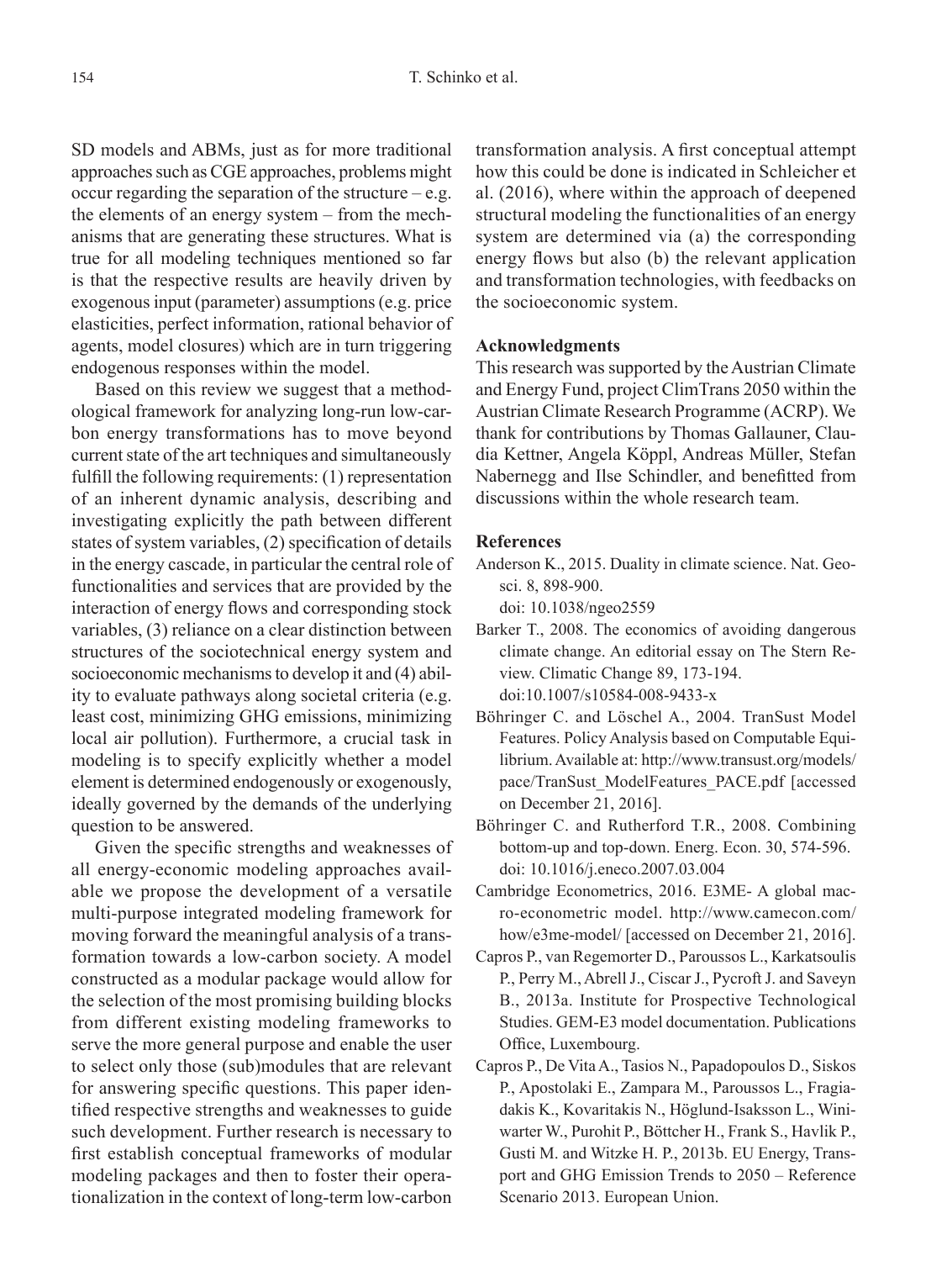SD models and ABMs, just as for more traditional approaches such as CGE approaches, problems might occur regarding the separation of the structure  $-e.g.$ the elements of an energy system – from the mechanisms that are generating these structures. What is true for all modeling techniques mentioned so far is that the respective results are heavily driven by exogenous input (parameter) assumptions (e.g. price elasticities, perfect information, rational behavior of agents, model closures) which are in turn triggering endogenous responses within the model.

Based on this review we suggest that a methodological framework for analyzing long-run low-carbon energy transformations has to move beyond current state of the art techniques and simultaneously fulfill the following requirements: (1) representation of an inherent dynamic analysis, describing and investigating explicitly the path between different states of system variables, (2) specification of details in the energy cascade, in particular the central role of functionalities and services that are provided by the interaction of energy flows and corresponding stock variables, (3) reliance on a clear distinction between structures of the sociotechnical energy system and socioeconomic mechanisms to develop it and (4) ability to evaluate pathways along societal criteria (e.g. least cost, minimizing GHG emissions, minimizing local air pollution). Furthermore, a crucial task in modeling is to specify explicitly whether a model element is determined endogenously or exogenously, ideally governed by the demands of the underlying question to be answered.

Given the specific strengths and weaknesses of all energy-economic modeling approaches available we propose the development of a versatile multi-purpose integrated modeling framework for moving forward the meaningful analysis of a transformation towards a low-carbon society. A model constructed as a modular package would allow for the selection of the most promising building blocks from different existing modeling frameworks to serve the more general purpose and enable the user to select only those (sub)modules that are relevant for answering specific questions. This paper identified respective strengths and weaknesses to guide such development. Further research is necessary to first establish conceptual frameworks of modular modeling packages and then to foster their operationalization in the context of long-term low-carbon

transformation analysis. A first conceptual attempt how this could be done is indicated in Schleicher et al. (2016), where within the approach of deepened structural modeling the functionalities of an energy system are determined via (a) the corresponding energy flows but also (b) the relevant application and transformation technologies, with feedbacks on the socioeconomic system.

#### **Acknowledgments**

This research was supported by the Austrian Climate and Energy Fund, project ClimTrans 2050 within the Austrian Climate Research Programme (ACRP). We thank for contributions by Thomas Gallauner, Claudia Kettner, Angela Köppl, Andreas Müller, Stefan Nabernegg and Ilse Schindler, and benefitted from discussions within the whole research team.

#### **References**

Anderson K., 2015. Duality in climate science. Nat. Geosci. 8, 898-900.

doi: 10.1038/ngeo2559

- Barker T., 2008. The economics of avoiding dangerous climate change. An editorial essay on The Stern Review. Climatic Change 89, 173-194. doi:10.1007/s10584-008-9433-x
- Böhringer C. and Löschel A., 2004. TranSust Model Features. Policy Analysis based on Computable Equilibrium. Available at: [http://www.transust.org/models/](http://www.transust.org/models/pace/TranSust_ModelFeatures_PACE.pdf) [pace/TranSust\\_ModelFeatures\\_PACE.pdf](http://www.transust.org/models/pace/TranSust_ModelFeatures_PACE.pdf) [accessed on December 21, 2016].
- Böhringer C. and Rutherford T.R., 2008. Combining bottom-up and top-down. Energ. Econ. 30, 574-596. [doi: 10.1016/j.eneco.2007.03.004](http://dx.doi.org/10.1016/j.eneco.2007.03.004)
- Cambridge Econometrics, 2016. E3ME- A global macro-econometric model. [http://www.camecon.com/](http://www.camecon.com/how/e3me-model/) [how/e3me-model/](http://www.camecon.com/how/e3me-model/) [accessed on December 21, 2016].
- Capros P., van Regemorter D., Paroussos L., Karkatsoulis P., Perry M., Abrell J., Ciscar J., Pycroft J. and Saveyn B., 2013a. Institute for Prospective Technological Studies. GEM-E3 model documentation. Publications Office, Luxembourg.
- Capros P., De Vita A., Tasios N., Papadopoulos D., Siskos P., Apostolaki E., Zampara M., Paroussos L., Fragiadakis K., Kovaritakis N., Höglund-Isaksson L., Winiwarter W., Purohit P., Böttcher H., Frank S., Havlik P., Gusti M. and Witzke H. P., 2013b. EU Energy, Transport and GHG Emission Trends to 2050 – Reference Scenario 2013. European Union.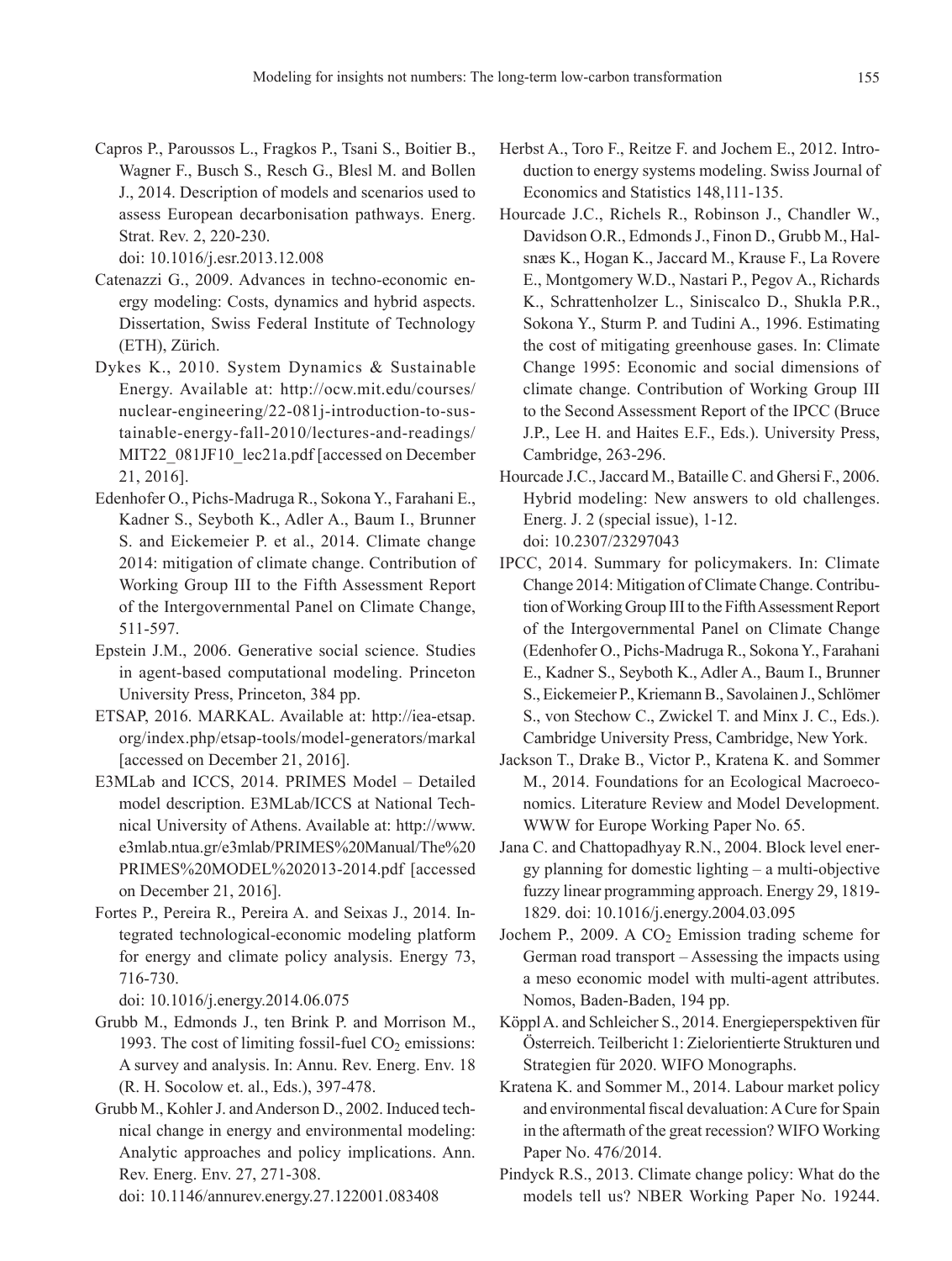Capros P., Paroussos L., Fragkos P., Tsani S., Boitier B., Wagner F., Busch S., Resch G., Blesl M. and Bollen J., 2014. Description of models and scenarios used to assess European decarbonisation pathways. Energ. Strat. Rev. 2, 220-230.

doi: 10.1016/j.esr.2013.12.008

- Catenazzi G., 2009. Advances in techno-economic energy modeling: Costs, dynamics and hybrid aspects. Dissertation, Swiss Federal Institute of Technology (ETH), Zürich.
- Dykes K., 2010. System Dynamics & Sustainable Energy. Available at: [http://ocw.mit.edu/courses/](http://ocw.mit.edu/courses/nuclear-engineering/22-081j-introduction-to-sustainable-energy-fall-2010/lectures-and-readings/MIT22_081JF10_lec21a.pdf) [nuclear-engineering/22-081j-introduction-to-sus](http://ocw.mit.edu/courses/nuclear-engineering/22-081j-introduction-to-sustainable-energy-fall-2010/lectures-and-readings/MIT22_081JF10_lec21a.pdf)[tainable-energy-fall-2010/lectures-and-readings/](http://ocw.mit.edu/courses/nuclear-engineering/22-081j-introduction-to-sustainable-energy-fall-2010/lectures-and-readings/MIT22_081JF10_lec21a.pdf) [MIT22\\_081JF10\\_lec21a.pdf](http://ocw.mit.edu/courses/nuclear-engineering/22-081j-introduction-to-sustainable-energy-fall-2010/lectures-and-readings/MIT22_081JF10_lec21a.pdf) [accessed on December 21, 2016].
- Edenhofer O., Pichs-Madruga R., Sokona Y., Farahani E., Kadner S., Seyboth K., Adler A., Baum I., Brunner S. and Eickemeier P. et al., 2014. Climate change 2014: mitigation of climate change. Contribution of Working Group III to the Fifth Assessment Report of the Intergovernmental Panel on Climate Change, 511-597.
- Epstein J.M., 2006. Generative social science. Studies in agent-based computational modeling. Princeton University Press, Princeton, 384 pp.
- ETSAP, 2016. MARKAL. Available at: [http://iea-etsap.](http://iea-etsap.org/index.php/etsap-tools/model-generators/markal) [org/index.php/etsap-tools/model-generators/markal](http://iea-etsap.org/index.php/etsap-tools/model-generators/markal) [accessed on December 21, 2016].
- E3MLab and ICCS, 2014. PRIMES Model Detailed model description. E3MLab/ICCS at National Technical University of Athens. Available at: [http://www.](http://www.e3mlab.ntua.gr/e3mlab/PRIMES%20Manual/The%20PRIMES%20MODEL%202013-2014.pdf) [e3mlab.ntua.gr/e3mlab/PRIMES%20Manual/The%20](http://www.e3mlab.ntua.gr/e3mlab/PRIMES%20Manual/The%20PRIMES%20MODEL%202013-2014.pdf) [PRIMES%20MODEL%202013-2014.pdf](http://www.e3mlab.ntua.gr/e3mlab/PRIMES%20Manual/The%20PRIMES%20MODEL%202013-2014.pdf) [accessed on December 21, 2016].
- Fortes P., Pereira R., Pereira A. and Seixas J., 2014. Integrated technological-economic modeling platform for energy and climate policy analysis. Energy 73, 716-730.

doi: 10.1016/j.energy.2014.06.075

- Grubb M., Edmonds J., ten Brink P. and Morrison M., 1993. The cost of limiting fossil-fuel  $CO<sub>2</sub>$  emissions: A survey and analysis. In: Annu. Rev. Energ. Env. 18 (R. H. Socolow et. al., Eds.), 397-478.
- Grubb M., Kohler J. and Anderson D., 2002. Induced technical change in energy and environmental modeling: Analytic approaches and policy implications. Ann. Rev. Energ. Env. 27, 271-308.

doi: 10.1146/annurev.energy.27.122001.083408

- Herbst A., Toro F., Reitze F. and Jochem E., 2012. Introduction to energy systems modeling. Swiss Journal of Economics and Statistics 148,111-135.
- Hourcade J.C., Richels R., Robinson J., Chandler W., Davidson O.R., Edmonds J., Finon D., Grubb M[., Hal](http://orbit.dtu.dk/en/persons/kirsten-halsnaes(2a332517-569b-4605-8acb-d6fa07a09323).html)[snæs K.](http://orbit.dtu.dk/en/persons/kirsten-halsnaes(2a332517-569b-4605-8acb-d6fa07a09323).html), Hogan K., Jaccard M., Krause F., La Rovere E., Montgomery W.D., Nastari P., Pegov A., Richards K., Schrattenholzer L., Siniscalco D., Shukla P.R., Sokona Y., Sturm P. and Tudini A., 1996. Estimating the cost of mitigating greenhouse gases. In: Climate Change 1995: Economic and social dimensions of climate change. Contribution of Working Group III to the Second Assessment Report of the IPCC (Bruce J.P., Lee H. and Haites E.F., Eds.). University Press, Cambridge, 263-296.
- Hourcade J.C., Jaccard M., Bataille C. and Ghersi F., 2006. Hybrid modeling: New answers to old challenges. Energ. J. 2 (special issue), 1-12. doi: 10.2307/23297043
- IPCC, 2014. Summary for policymakers. In: Climate Change 2014: Mitigation of Climate Change. Contribution of Working Group III to the Fifth Assessment Report of the Intergovernmental Panel on Climate Change (Edenhofer O., Pichs-Madruga R., Sokona Y., Farahani E., Kadner S., Seyboth K., Adler A., Baum I., Brunner S., Eickemeier P., Kriemann B., Savolainen J., Schlömer S., von Stechow C., Zwickel T. and Minx J. C., Eds.). Cambridge University Press, Cambridge, New York.
- Jackson T., Drake B., Victor P., Kratena K. and Sommer M., 2014. Foundations for an Ecological Macroeconomics. Literature Review and Model Development. WWW for Europe Working Paper No. 65.
- Jana C. and Chattopadhyay R.N., 2004. Block level energy planning for domestic lighting – a multi-objective fuzzy linear programming approach. Energy 29, 1819- 1829. doi: 10.1016/j.energy.2004.03.095
- Jochem P.,  $2009$ . A  $CO<sub>2</sub>$  Emission trading scheme for German road transport – Assessing the impacts using a meso economic model with multi-agent attributes. Nomos, Baden-Baden, 194 pp.
- Köppl A. and Schleicher S., 2014. Energieperspektiven für Österreich. Teilbericht 1: Zielorientierte Strukturen und Strategien für 2020. WIFO Monographs.
- Kratena K. and Sommer M., 2014. Labour market policy and environmental fiscal devaluation: A Cure for Spain in the aftermath of the great recession? WIFO Working Paper No. 476/2014.
- Pindyck R.S., 2013. Climate change policy: What do the models tell us? NBER Working Paper No. 19244.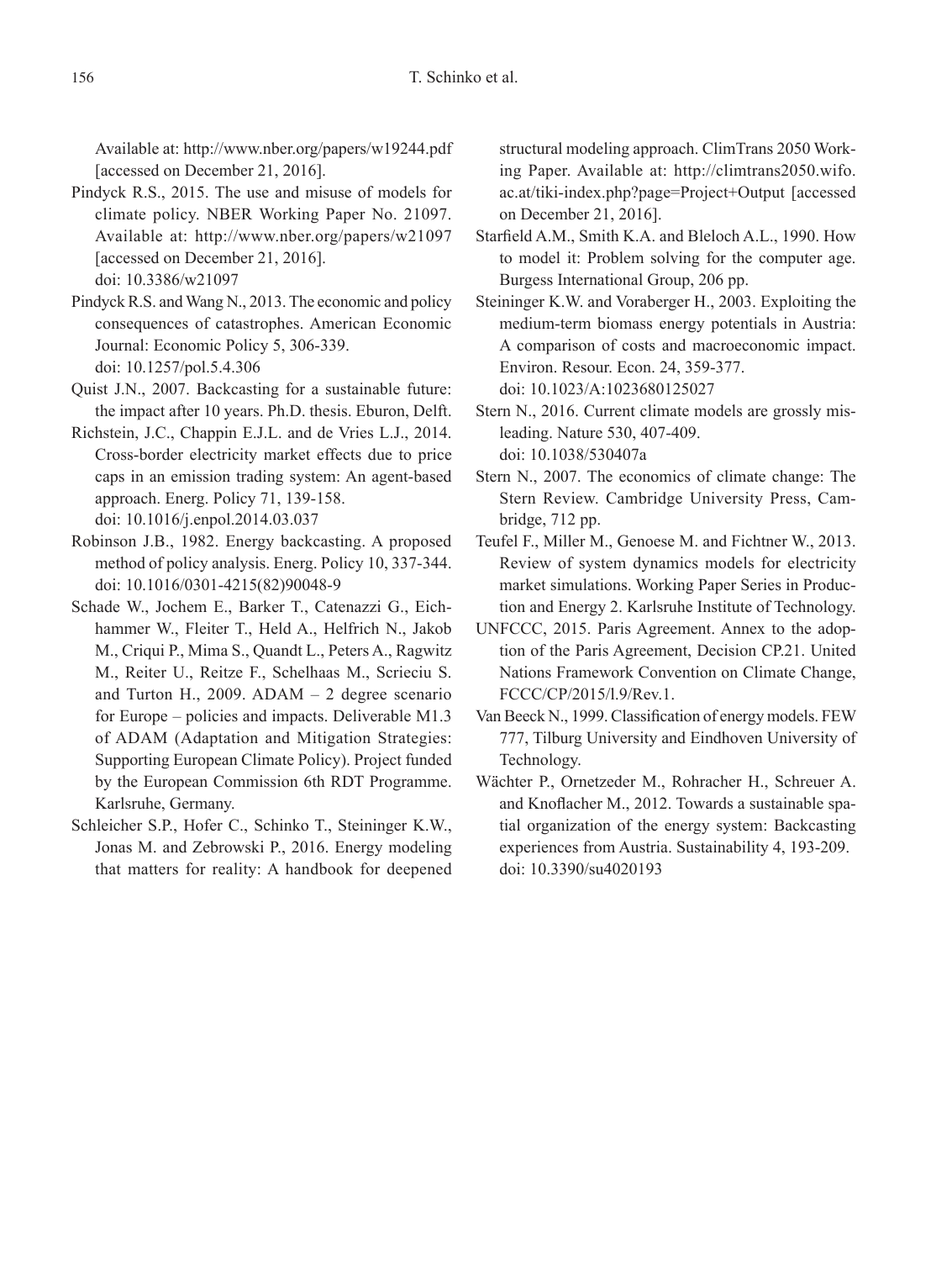Available at: <http://www.nber.org/papers/w19244.pdf> [accessed on December 21, 2016].

- Pindyck R.S., 2015. The use and misuse of models for climate policy. NBER Working Paper No. 21097. Available at: <http://www.nber.org/papers/w21097> [accessed on December 21, 2016]. doi: 10.3386/w21097
- Pindyck R.S. and Wang N., 2013. The economic and policy consequences of catastrophes. American Economic Journal: Economic Policy 5, 306-339. [doi: 10.1257/pol.5.4.306](http://dx.doi.org/10.1257/pol.5.4.306)
- Quist J.N., 2007. Backcasting for a sustainable future: the impact after 10 years. Ph.D. thesis. Eburon, Delft.
- Richstein, J.C., Chappin E.J.L. and de Vries L.J., 2014. Cross-border electricity market effects due to price caps in an emission trading system: An agent-based approach. Energ. Policy 71, 139-158. doi: 10.1016/j.enpol.2014.03.037
- Robinson J.B., 1982. Energy backcasting. A proposed method of policy analysis. Energ. Policy 10, 337-344. doi: 10.1016/0301-4215(82)90048-9
- Schade W., Jochem E., Barker T., Catenazzi G., Eichhammer W., Fleiter T., Held A., Helfrich N., Jakob M., Criqui P., Mima S., Quandt L., Peters A., Ragwitz M., Reiter U., Reitze F., Schelhaas M., Scrieciu S. and Turton H., 2009.  $ADAM - 2$  degree scenario for Europe – policies and impacts. Deliverable M1.3 of ADAM (Adaptation and Mitigation Strategies: Supporting European Climate Policy). Project funded by the European Commission 6th RDT Programme. Karlsruhe, Germany.
- Schleicher S.P., Hofer C., Schinko T., Steininger K.W., Jonas M. and Zebrowski P., 2016. Energy modeling that matters for reality: A handbook for deepened

structural modeling approach. ClimTrans 2050 Working Paper. Available at: [http://climtrans2050.wifo.](http://climtrans2050.wifo.ac.at/tiki-index.php?page=Project+Output) [ac.at/tiki-index.php?page=Project+Output](http://climtrans2050.wifo.ac.at/tiki-index.php?page=Project+Output) [accessed on December 21, 2016].

- Starfield A.M., Smith K.A. and Bleloch A.L., 1990. How to model it: Problem solving for the computer age. Burgess International Group, 206 pp.
- Steininger K.W. and Voraberger H., 2003. Exploiting the medium-term biomass energy potentials in Austria: A comparison of costs and macroeconomic impact. Environ. Resour. Econ. 24, 359-377. doi: 10.1023/A:1023680125027
- Stern N., 2016. Current climate models are grossly misleading. Nature 530, 407-409. doi: 10.1038/530407a
- Stern N., 2007. The economics of climate change: The Stern Review. Cambridge University Press, Cambridge, 712 pp.
- Teufel F., Miller M., Genoese M. and Fichtner W., 2013. Review of system dynamics models for electricity market simulations. Working Paper Series in Production and Energy 2. Karlsruhe Institute of Technology.
- UNFCCC, 2015. Paris Agreement. Annex to the adoption of the Paris Agreement, Decision CP.21. United Nations Framework Convention on Climate Change, FCCC/CP/2015/l.9/Rev.1.
- Van Beeck N., 1999. Classification of energy models. FEW 777, Tilburg University and Eindhoven University of Technology.
- Wächter P., Ornetzeder M., Rohracher H., Schreuer A. and Knoflacher M., 2012. Towards a sustainable spatial organization of the energy system: Backcasting experiences from Austria. Sustainability 4, 193-209. doi: 10.3390/su4020193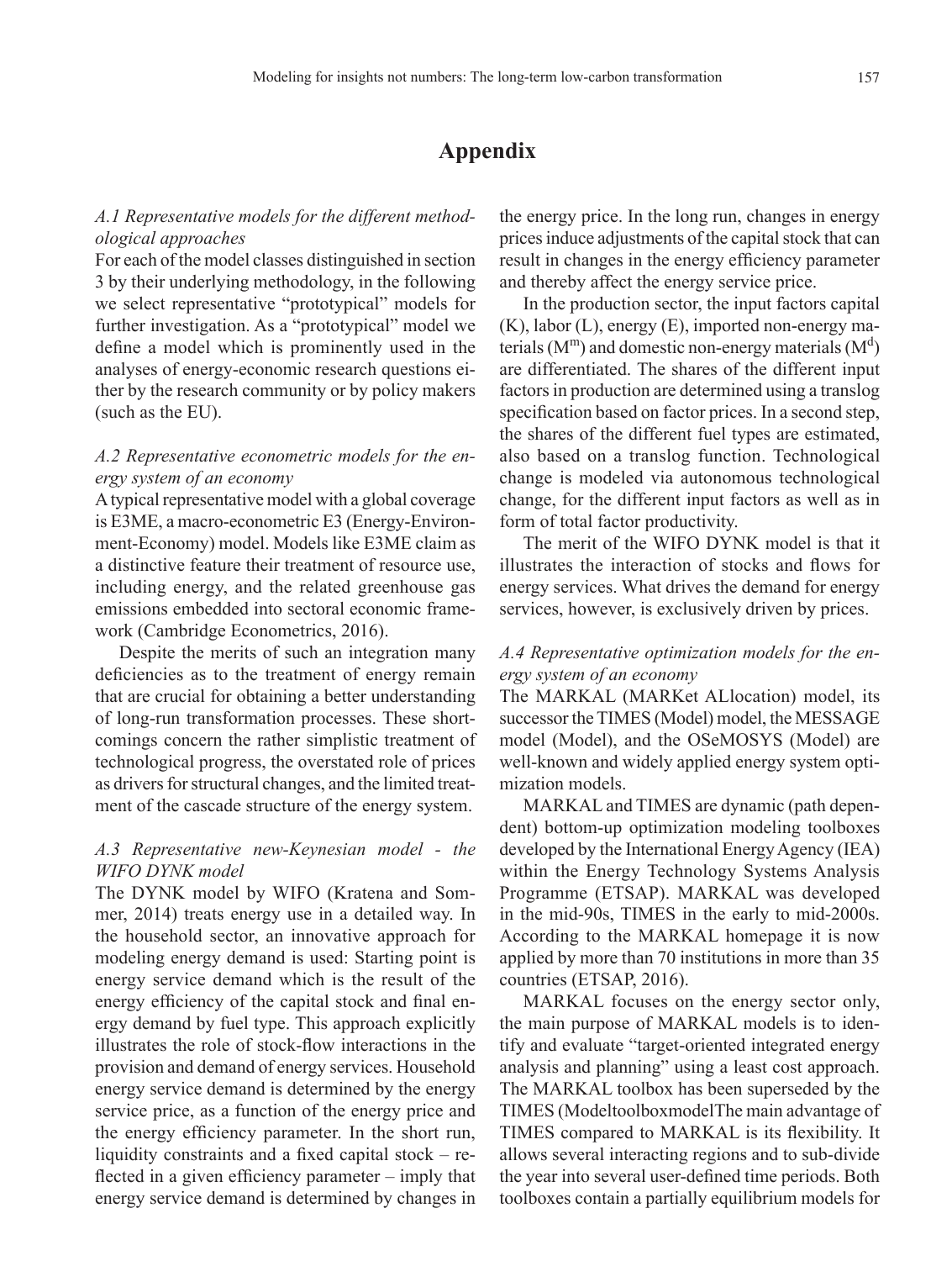# **Appendix**

# *A.1 Representative models for the different methodological approaches*

For each of the model classes distinguished in section 3 by their underlying methodology, in the following we select representative "prototypical" models for further investigation. As a "prototypical" model we define a model which is prominently used in the analyses of energy-economic research questions either by the research community or by policy makers (such as the EU).

### *A.2 Representative econometric models for the energy system of an economy*

A typical representative model with a global coverage is E3ME, a macro-econometric E3 (Energy-Environment-Economy) model. Models like E3ME claim as a distinctive feature their treatment of resource use, including energy, and the related greenhouse gas emissions embedded into sectoral economic framework (Cambridge Econometrics, 2016).

Despite the merits of such an integration many deficiencies as to the treatment of energy remain that are crucial for obtaining a better understanding of long-run transformation processes. These shortcomings concern the rather simplistic treatment of technological progress, the overstated role of prices as drivers for structural changes, and the limited treatment of the cascade structure of the energy system.

# *A.3 Representative new-Keynesian model - the WIFO DYNK model*

The DYNK model by WIFO (Kratena and Sommer, 2014) treats energy use in a detailed way. In the household sector, an innovative approach for modeling energy demand is used: Starting point is energy service demand which is the result of the energy efficiency of the capital stock and final energy demand by fuel type. This approach explicitly illustrates the role of stock-flow interactions in the provision and demand of energy services. Household energy service demand is determined by the energy service price, as a function of the energy price and the energy efficiency parameter. In the short run, liquidity constraints and a fixed capital stock – reflected in a given efficiency parameter – imply that energy service demand is determined by changes in

the energy price. In the long run, changes in energy prices induce adjustments of the capital stock that can result in changes in the energy efficiency parameter and thereby affect the energy service price.

In the production sector, the input factors capital (K), labor (L), energy (E), imported non-energy materials  $(M<sup>m</sup>)$  and domestic non-energy materials  $(M<sup>d</sup>)$ are differentiated. The shares of the different input factors in production are determined using a translog specification based on factor prices. In a second step, the shares of the different fuel types are estimated, also based on a translog function. Technological change is modeled via autonomous technological change, for the different input factors as well as in form of total factor productivity.

The merit of the WIFO DYNK model is that it illustrates the interaction of stocks and flows for energy services. What drives the demand for energy services, however, is exclusively driven by prices.

# *A.4 Representative optimization models for the energy system of an economy*

The MARKAL (MARKet ALlocation) model, its successor the TIMES (Model) model, the MESSAGE model (Model), and the OSeMOSYS (Model) are well-known and widely applied energy system optimization models.

MARKAL and TIMES are dynamic (path dependent) bottom-up optimization modeling toolboxes developed by the International Energy Agency (IEA) within the Energy Technology Systems Analysis Programme (ETSAP). MARKAL was developed in the mid-90s, TIMES in the early to mid-2000s. According to the MARKAL homepage it is now applied by more than 70 institutions in more than 35 countries (ETSAP, 2016).

MARKAL focuses on the energy sector only, the main purpose of MARKAL models is to identify and evaluate "target-oriented integrated energy analysis and planning" using a least cost approach. The MARKAL toolbox has been superseded by the TIMES (ModeltoolboxmodelThe main advantage of TIMES compared to MARKAL is its flexibility. It allows several interacting regions and to sub-divide the year into several user-defined time periods. Both toolboxes contain a partially equilibrium models for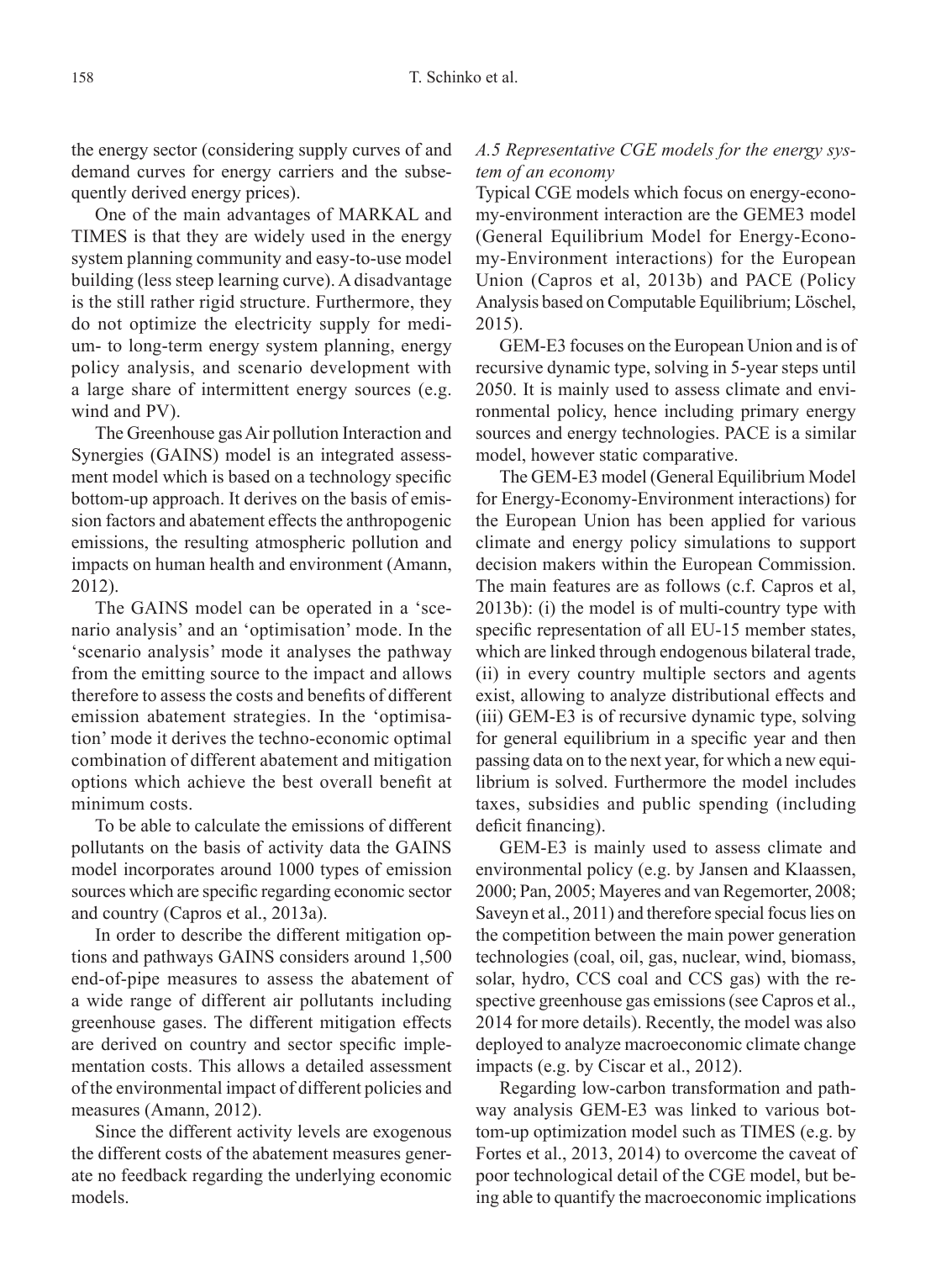the energy sector (considering supply curves of and demand curves for energy carriers and the subsequently derived energy prices).

One of the main advantages of MARKAL and TIMES is that they are widely used in the energy system planning community and easy-to-use model building (less steep learning curve). A disadvantage is the still rather rigid structure. Furthermore, they do not optimize the electricity supply for medium- to long-term energy system planning, energy policy analysis, and scenario development with a large share of intermittent energy sources (e.g. wind and PV).

The Greenhouse gas Air pollution Interaction and Synergies (GAINS) model is an integrated assessment model which is based on a technology specific bottom-up approach. It derives on the basis of emission factors and abatement effects the anthropogenic emissions, the resulting atmospheric pollution and impacts on human health and environment (Amann, 2012).

The GAINS model can be operated in a 'scenario analysis' and an 'optimisation' mode. In the 'scenario analysis' mode it analyses the pathway from the emitting source to the impact and allows therefore to assess the costs and benefits of different emission abatement strategies. In the 'optimisation' mode it derives the techno-economic optimal combination of different abatement and mitigation options which achieve the best overall benefit at minimum costs.

To be able to calculate the emissions of different pollutants on the basis of activity data the GAINS model incorporates around 1000 types of emission sources which are specific regarding economic sector and country (Capros et al., 2013a).

In order to describe the different mitigation options and pathways GAINS considers around 1,500 end-of-pipe measures to assess the abatement of a wide range of different air pollutants including greenhouse gases. The different mitigation effects are derived on country and sector specific implementation costs. This allows a detailed assessment of the environmental impact of different policies and measures (Amann, 2012).

Since the different activity levels are exogenous the different costs of the abatement measures generate no feedback regarding the underlying economic models.

### *A.5 Representative CGE models for the energy system of an economy*

Typical CGE models which focus on energy-economy-environment interaction are the GEME3 model (General Equilibrium Model for Energy-Economy-Environment interactions) for the European Union (Capros et al, 2013b) and PACE (Policy Analysis based on Computable Equilibrium; Löschel, 2015).

GEM-E3 focuses on the European Union and is of recursive dynamic type, solving in 5-year steps until 2050. It is mainly used to assess climate and environmental policy, hence including primary energy sources and energy technologies. PACE is a similar model, however static comparative.

The GEM-E3 model (General Equilibrium Model for Energy-Economy-Environment interactions) for the European Union has been applied for various climate and energy policy simulations to support decision makers within the European Commission. The main features are as follows (c.f. Capros et al, 2013b): (i) the model is of multi-country type with specific representation of all EU-15 member states, which are linked through endogenous bilateral trade, (ii) in every country multiple sectors and agents exist, allowing to analyze distributional effects and (iii) GEM-E3 is of recursive dynamic type, solving for general equilibrium in a specific year and then passing data on to the next year, for which a new equilibrium is solved. Furthermore the model includes taxes, subsidies and public spending (including deficit financing).

GEM-E3 is mainly used to assess climate and environmental policy (e.g. by Jansen and Klaassen, 2000; Pan, 2005; Mayeres and van Regemorter, 2008; Saveyn et al., 2011) and therefore special focus lies on the competition between the main power generation technologies (coal, oil, gas, nuclear, wind, biomass, solar, hydro, CCS coal and CCS gas) with the respective greenhouse gas emissions (see Capros et al., 2014 for more details). Recently, the model was also deployed to analyze macroeconomic climate change impacts (e.g. by Ciscar et al., 2012).

Regarding low-carbon transformation and pathway analysis GEM-E3 was linked to various bottom-up optimization model such as TIMES (e.g. by Fortes et al., 2013, 2014) to overcome the caveat of poor technological detail of the CGE model, but being able to quantify the macroeconomic implications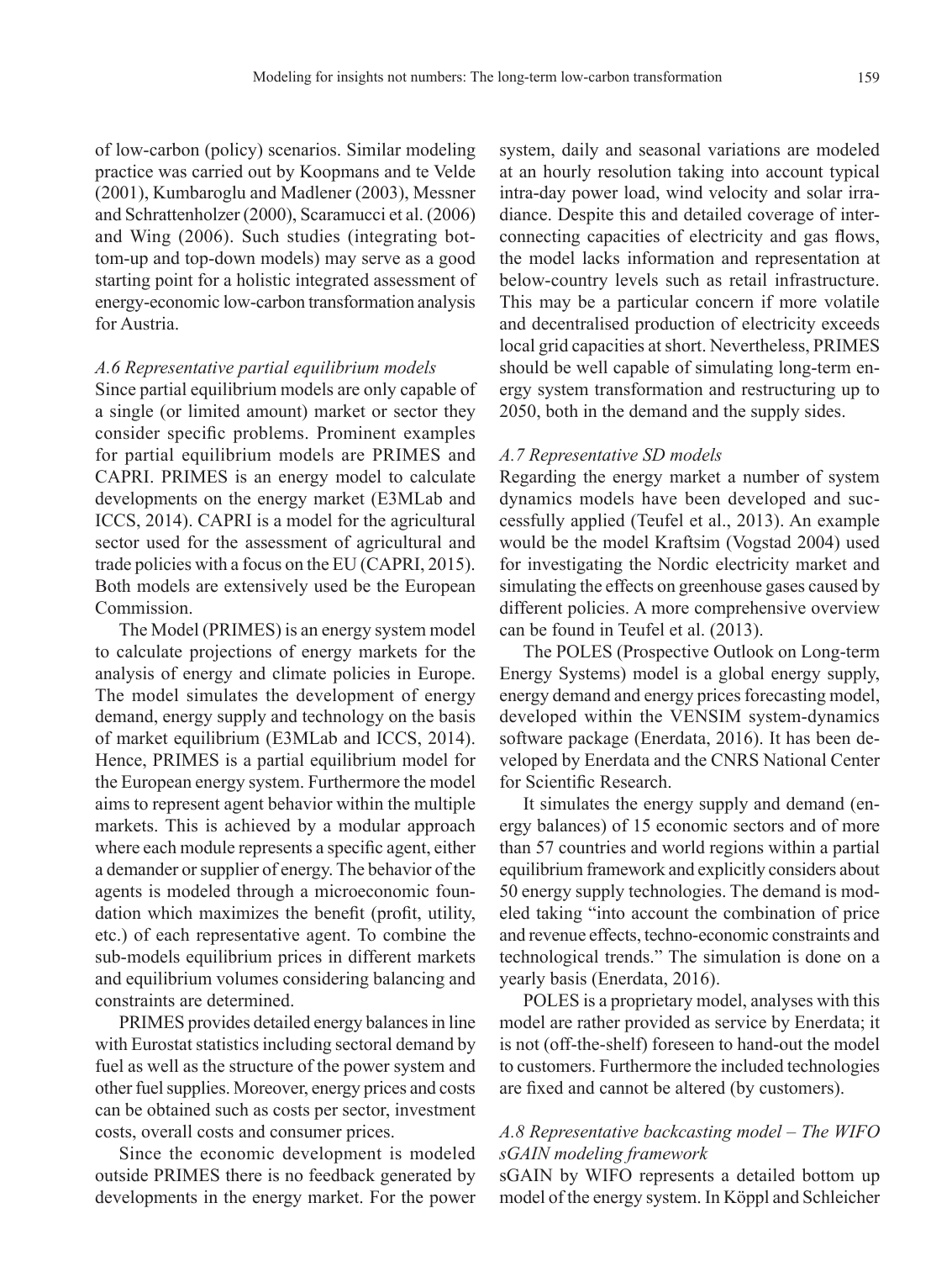of low-carbon (policy) scenarios. Similar modeling practice was carried out by Koopmans and te Velde (2001), Kumbaroglu and Madlener (2003), Messner and Schrattenholzer (2000), Scaramucci et al. (2006) and Wing (2006). Such studies (integrating bottom-up and top-down models) may serve as a good starting point for a holistic integrated assessment of energy-economic low-carbon transformation analysis for Austria.

#### *A.6 Representative partial equilibrium models*

Since partial equilibrium models are only capable of a single (or limited amount) market or sector they consider specific problems. Prominent examples for partial equilibrium models are PRIMES and CAPRI. PRIMES is an energy model to calculate developments on the energy market (E3MLab and ICCS, 2014). CAPRI is a model for the agricultural sector used for the assessment of agricultural and trade policies with a focus on the EU (CAPRI, 2015). Both models are extensively used be the European Commission.

The Model (PRIMES) is an energy system model to calculate projections of energy markets for the analysis of energy and climate policies in Europe. The model simulates the development of energy demand, energy supply and technology on the basis of market equilibrium (E3MLab and ICCS, 2014). Hence, PRIMES is a partial equilibrium model for the European energy system. Furthermore the model aims to represent agent behavior within the multiple markets. This is achieved by a modular approach where each module represents a specific agent, either a demander or supplier of energy. The behavior of the agents is modeled through a microeconomic foundation which maximizes the benefit (profit, utility, etc.) of each representative agent. To combine the sub-models equilibrium prices in different markets and equilibrium volumes considering balancing and constraints are determined.

PRIMES provides detailed energy balances in line with Eurostat statistics including sectoral demand by fuel as well as the structure of the power system and other fuel supplies. Moreover, energy prices and costs can be obtained such as costs per sector, investment costs, overall costs and consumer prices.

Since the economic development is modeled outside PRIMES there is no feedback generated by developments in the energy market. For the power

system, daily and seasonal variations are modeled at an hourly resolution taking into account typical intra-day power load, wind velocity and solar irradiance. Despite this and detailed coverage of interconnecting capacities of electricity and gas flows, the model lacks information and representation at below-country levels such as retail infrastructure. This may be a particular concern if more volatile and decentralised production of electricity exceeds local grid capacities at short. Nevertheless, PRIMES should be well capable of simulating long-term energy system transformation and restructuring up to 2050, both in the demand and the supply sides.

#### *A.7 Representative SD models*

Regarding the energy market a number of system dynamics models have been developed and successfully applied (Teufel et al., 2013). An example would be the model Kraftsim (Vogstad 2004) used for investigating the Nordic electricity market and simulating the effects on greenhouse gases caused by different policies. A more comprehensive overview can be found in Teufel et al. (2013).

The POLES (Prospective Outlook on Long-term Energy Systems) model is a global energy supply, energy demand and energy prices forecasting model, developed within the VENSIM system-dynamics software package (Enerdata, 2016). It has been developed by Enerdata and the CNRS National Center for Scientific Research.

It simulates the energy supply and demand (energy balances) of 15 economic sectors and of more than 57 countries and world regions within a partial equilibrium framework and explicitly considers about 50 energy supply technologies. The demand is modeled taking "into account the combination of price and revenue effects, techno-economic constraints and technological trends." The simulation is done on a yearly basis (Enerdata, 2016).

POLES is a proprietary model, analyses with this model are rather provided as service by Enerdata; it is not (off-the-shelf) foreseen to hand-out the model to customers. Furthermore the included technologies are fixed and cannot be altered (by customers).

### *A.8 Representative backcasting model – The WIFO sGAIN modeling framework*

sGAIN by WIFO represents a detailed bottom up model of the energy system. In Köppl and Schleicher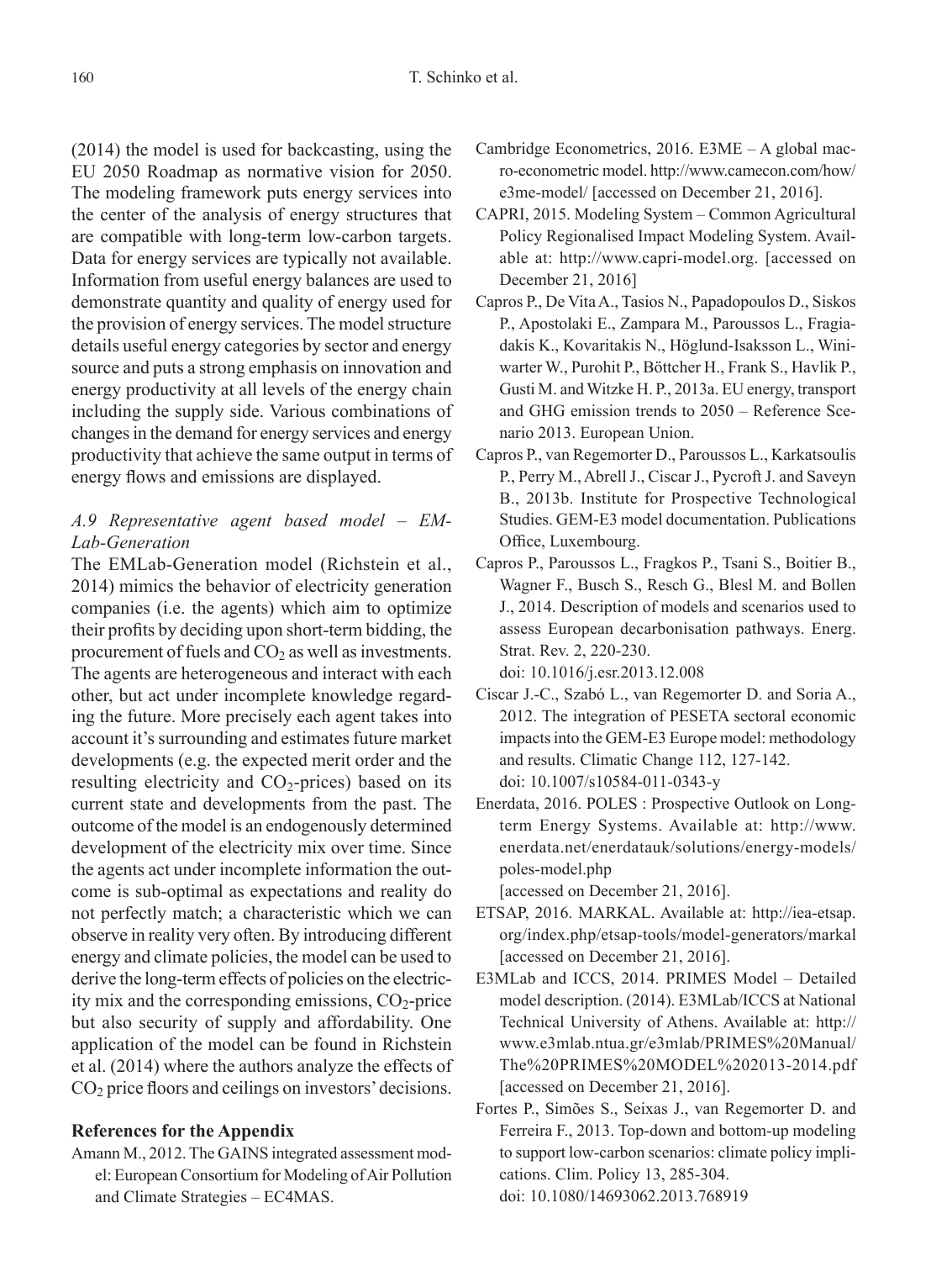(2014) the model is used for backcasting, using the EU 2050 Roadmap as normative vision for 2050. The modeling framework puts energy services into the center of the analysis of energy structures that are compatible with long-term low-carbon targets. Data for energy services are typically not available. Information from useful energy balances are used to demonstrate quantity and quality of energy used for the provision of energy services. The model structure details useful energy categories by sector and energy source and puts a strong emphasis on innovation and energy productivity at all levels of the energy chain including the supply side. Various combinations of changes in the demand for energy services and energy productivity that achieve the same output in terms of energy flows and emissions are displayed.

# *A.9 Representative agent based model – EM-Lab-Generation*

The EMLab-Generation model (Richstein et al., 2014) mimics the behavior of electricity generation companies (i.e. the agents) which aim to optimize their profits by deciding upon short-term bidding, the procurement of fuels and  $CO<sub>2</sub>$  as well as investments. The agents are heterogeneous and interact with each other, but act under incomplete knowledge regarding the future. More precisely each agent takes into account it's surrounding and estimates future market developments (e.g. the expected merit order and the resulting electricity and  $CO<sub>2</sub>-prices$ ) based on its current state and developments from the past. The outcome of the model is an endogenously determined development of the electricity mix over time. Since the agents act under incomplete information the outcome is sub-optimal as expectations and reality do not perfectly match; a characteristic which we can observe in reality very often. By introducing different energy and climate policies, the model can be used to derive the long-term effects of policies on the electricity mix and the corresponding emissions,  $CO<sub>2</sub>$ -price but also security of supply and affordability. One application of the model can be found in Richstein et al. (2014) where the authors analyze the effects of CO2 price floors and ceilings on investors' decisions.

# **References for the Appendix**

Amann M., 2012. The GAINS integrated assessment model: European Consortium for Modeling of Air Pollution and Climate Strategies – EC4MAS.

- Cambridge Econometrics, 2016. E3ME A global macro-econometric model. [http://www.camecon.com/how/](http://www.camecon.com/how/e3me-model/) [e3me-model/](http://www.camecon.com/how/e3me-model/) [accessed on December 21, 2016].
- CAPRI, 2015. Modeling System Common Agricultural Policy Regionalised Impact Modeling System. Available at: http://www.capri-model.org. [accessed on December 21, 2016]
- Capros P., De Vita A., Tasios N., Papadopoulos D., Siskos P., Apostolaki E., Zampara M., Paroussos L., Fragiadakis K., Kovaritakis N., Höglund-Isaksson L., Winiwarter W., Purohit P., Böttcher H., Frank S., Havlik P., Gusti M. and Witzke H. P., 2013a. EU energy, transport and GHG emission trends to 2050 – Reference Scenario 2013. European Union.
- Capros P., van Regemorter D., Paroussos L., Karkatsoulis P., Perry M., Abrell J., Ciscar J., Pycroft J. and Saveyn B., 2013b. Institute for Prospective Technological Studies. GEM-E3 model documentation. Publications Office, Luxembourg.
- Capros P., Paroussos L., Fragkos P., Tsani S., Boitier B., Wagner F., Busch S., Resch G., Blesl M. and Bollen J., 2014. Description of models and scenarios used to assess European decarbonisation pathways. Energ. Strat. Rev. 2, 220-230.

doi: 10.1016/j.esr.2013.12.008

- Ciscar J.-C., Szabó L., van Regemorter D. and Soria A., 2012. The integration of PESETA sectoral economic impacts into the GEM-E3 Europe model: methodology and results. Climatic Change 112, 127-142. doi: 10.1007/s10584-011-0343-y
- Enerdata, 2016. POLES : Prospective Outlook on Longterm Energy Systems. Available at: [http://www.](http://www.enerdata.net/enerdatauk/solutions/energy-models/poles-model.php) [enerdata.net/enerdatauk/solutions/energy-models/](http://www.enerdata.net/enerdatauk/solutions/energy-models/poles-model.php) [poles-model.php](http://www.enerdata.net/enerdatauk/solutions/energy-models/poles-model.php)

[accessed on December 21, 2016].

- ETSAP, 2016. MARKAL. Available at: [http://iea-etsap.](http://iea-etsap.org/index.php/etsap-tools/model-generators/markal) [org/index.php/etsap-tools/model-generators/markal](http://iea-etsap.org/index.php/etsap-tools/model-generators/markal) [accessed on December 21, 2016].
- E3MLab and ICCS, 2014. PRIMES Model Detailed model description. (2014). E3MLab/ICCS at National Technical University of Athens. Available at: [http://](http://www.e3mlab.ntua.gr/e3mlab/PRIMES%20Manual/The%20PRIMES%20MODEL%202013-2014.pdf) [www.e3mlab.ntua.gr/e3mlab/PRIMES%20Manual/](http://www.e3mlab.ntua.gr/e3mlab/PRIMES%20Manual/The%20PRIMES%20MODEL%202013-2014.pdf) [The%20PRIMES%20MODEL%202013-2014.pdf](http://www.e3mlab.ntua.gr/e3mlab/PRIMES%20Manual/The%20PRIMES%20MODEL%202013-2014.pdf) [accessed on December 21, 2016].
- Fortes P., Simões S., Seixas J., van Regemorter D. and Ferreira F., 2013. Top-down and bottom-up modeling to support low-carbon scenarios: climate policy implications. Clim. Policy 13, 285-304. doi: 10.1080/14693062.2013.768919